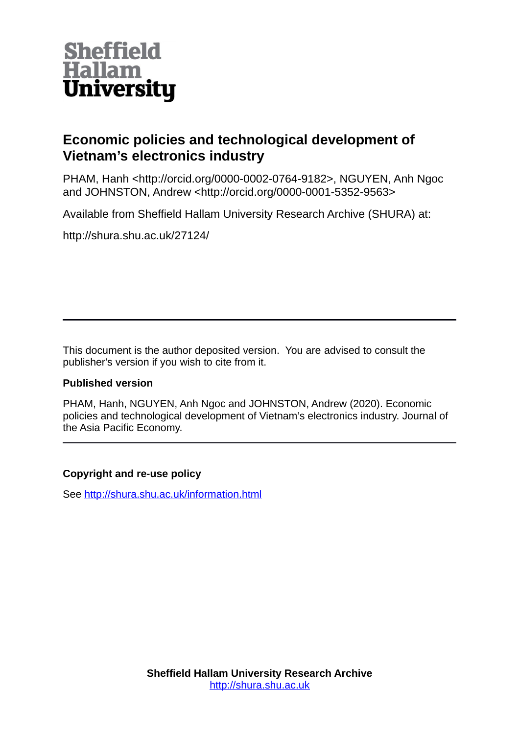

# **Economic policies and technological development of Vietnam's electronics industry**

PHAM, Hanh <http://orcid.org/0000-0002-0764-9182>, NGUYEN, Anh Ngoc and JOHNSTON, Andrew <http://orcid.org/0000-0001-5352-9563>

Available from Sheffield Hallam University Research Archive (SHURA) at:

http://shura.shu.ac.uk/27124/

This document is the author deposited version. You are advised to consult the publisher's version if you wish to cite from it.

# **Published version**

PHAM, Hanh, NGUYEN, Anh Ngoc and JOHNSTON, Andrew (2020). Economic policies and technological development of Vietnam's electronics industry. Journal of the Asia Pacific Economy.

# **Copyright and re-use policy**

See<http://shura.shu.ac.uk/information.html>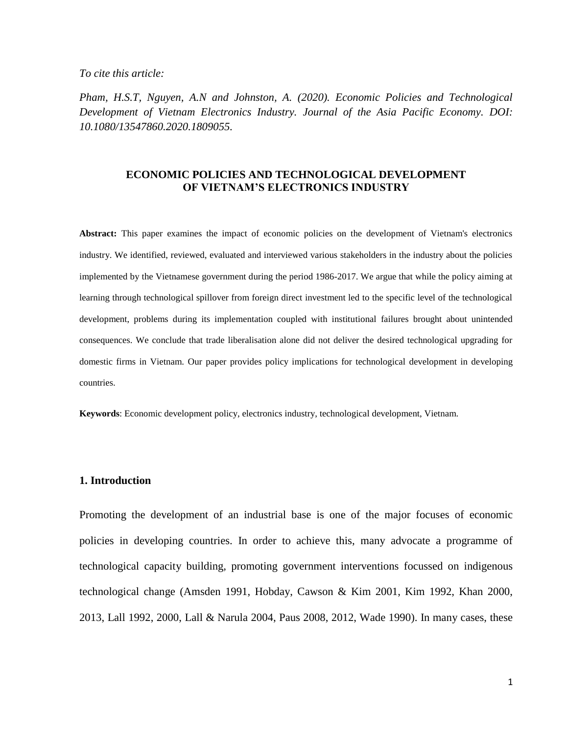*To cite this article:*

*Pham, H.S.T, Nguyen, A.N and Johnston, A. (2020). Economic Policies and Technological Development of Vietnam Electronics Industry. Journal of the Asia Pacific Economy. DOI: 10.1080/13547860.2020.1809055.*

## **ECONOMIC POLICIES AND TECHNOLOGICAL DEVELOPMENT OF VIETNAM'S ELECTRONICS INDUSTRY**

**Abstract:** This paper examines the impact of economic policies on the development of Vietnam's electronics industry. We identified, reviewed, evaluated and interviewed various stakeholders in the industry about the policies implemented by the Vietnamese government during the period 1986-2017. We argue that while the policy aiming at learning through technological spillover from foreign direct investment led to the specific level of the technological development, problems during its implementation coupled with institutional failures brought about unintended consequences. We conclude that trade liberalisation alone did not deliver the desired technological upgrading for domestic firms in Vietnam. Our paper provides policy implications for technological development in developing countries.

**Keywords**: Economic development policy, electronics industry, technological development, Vietnam.

#### **1. Introduction**

Promoting the development of an industrial base is one of the major focuses of economic policies in developing countries. In order to achieve this, many advocate a programme of technological capacity building, promoting government interventions focussed on indigenous technological change (Amsden 1991, Hobday, Cawson & Kim 2001, Kim 1992, Khan 2000, 2013, Lall 1992, 2000, Lall & Narula 2004, Paus 2008, 2012, Wade 1990). In many cases, these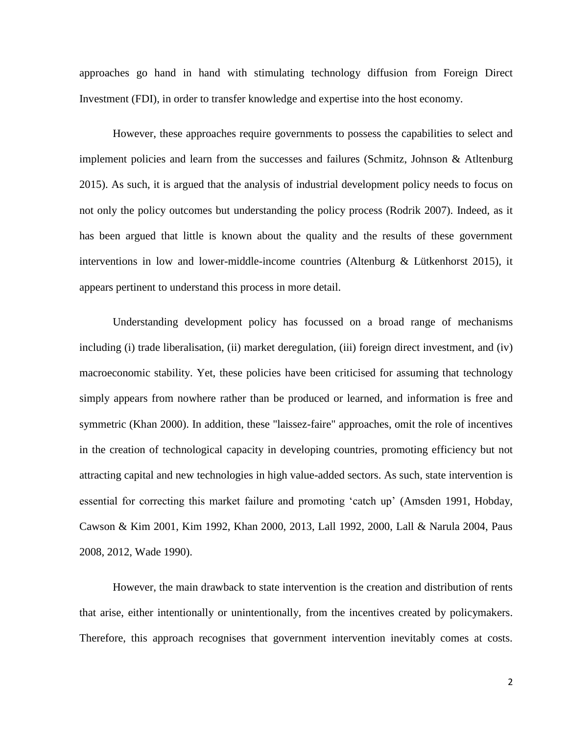approaches go hand in hand with stimulating technology diffusion from Foreign Direct Investment (FDI), in order to transfer knowledge and expertise into the host economy.

However, these approaches require governments to possess the capabilities to select and implement policies and learn from the successes and failures (Schmitz, Johnson & Atltenburg 2015). As such, it is argued that the analysis of industrial development policy needs to focus on not only the policy outcomes but understanding the policy process (Rodrik 2007). Indeed, as it has been argued that little is known about the quality and the results of these government interventions in low and lower-middle-income countries (Altenburg & Lütkenhorst 2015), it appears pertinent to understand this process in more detail.

Understanding development policy has focussed on a broad range of mechanisms including (i) trade liberalisation, (ii) market deregulation, (iii) foreign direct investment, and (iv) macroeconomic stability. Yet, these policies have been criticised for assuming that technology simply appears from nowhere rather than be produced or learned, and information is free and symmetric (Khan 2000). In addition, these "laissez-faire" approaches, omit the role of incentives in the creation of technological capacity in developing countries, promoting efficiency but not attracting capital and new technologies in high value-added sectors. As such, state intervention is essential for correcting this market failure and promoting 'catch up' (Amsden 1991, Hobday, Cawson & Kim 2001, Kim 1992, Khan 2000, 2013, Lall 1992, 2000, Lall & Narula 2004, Paus 2008, 2012, Wade 1990).

However, the main drawback to state intervention is the creation and distribution of rents that arise, either intentionally or unintentionally, from the incentives created by policymakers. Therefore, this approach recognises that government intervention inevitably comes at costs.

2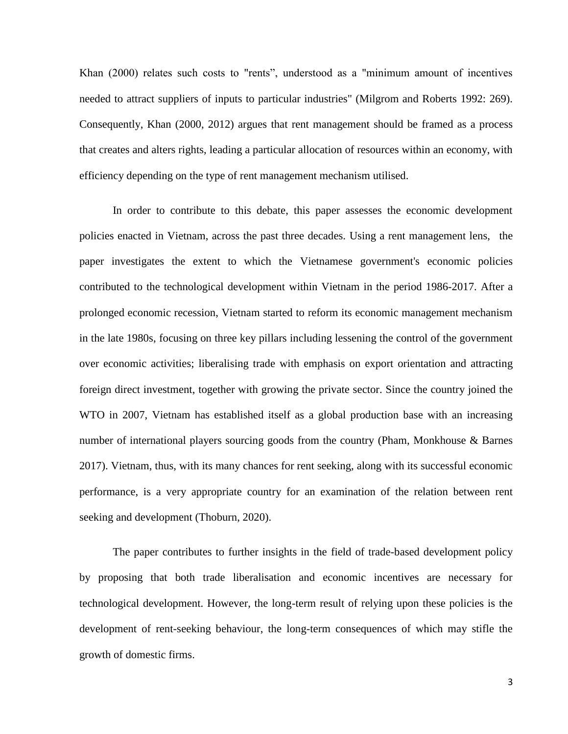Khan (2000) relates such costs to "rents", understood as a "minimum amount of incentives needed to attract suppliers of inputs to particular industries" (Milgrom and Roberts 1992: 269). Consequently, Khan (2000, 2012) argues that rent management should be framed as a process that creates and alters rights, leading a particular allocation of resources within an economy, with efficiency depending on the type of rent management mechanism utilised.

In order to contribute to this debate, this paper assesses the economic development policies enacted in Vietnam, across the past three decades. Using a rent management lens, the paper investigates the extent to which the Vietnamese government's economic policies contributed to the technological development within Vietnam in the period 1986-2017. After a prolonged economic recession, Vietnam started to reform its economic management mechanism in the late 1980s, focusing on three key pillars including lessening the control of the government over economic activities; liberalising trade with emphasis on export orientation and attracting foreign direct investment, together with growing the private sector. Since the country joined the WTO in 2007, Vietnam has established itself as a global production base with an increasing number of international players sourcing goods from the country (Pham, Monkhouse & Barnes 2017). Vietnam, thus, with its many chances for rent seeking, along with its successful economic performance, is a very appropriate country for an examination of the relation between rent seeking and development (Thoburn, 2020).

The paper contributes to further insights in the field of trade-based development policy by proposing that both trade liberalisation and economic incentives are necessary for technological development. However, the long-term result of relying upon these policies is the development of rent-seeking behaviour, the long-term consequences of which may stifle the growth of domestic firms.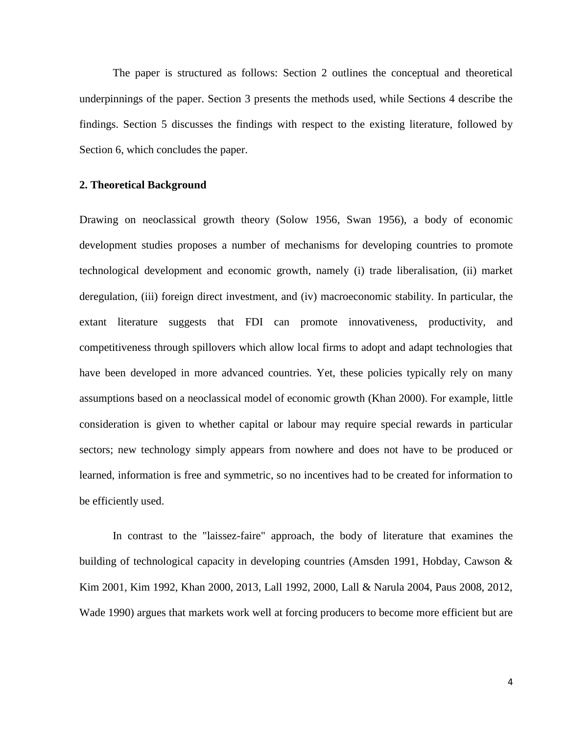The paper is structured as follows: Section 2 outlines the conceptual and theoretical underpinnings of the paper. Section 3 presents the methods used, while Sections 4 describe the findings. Section 5 discusses the findings with respect to the existing literature, followed by Section 6, which concludes the paper.

### **2. Theoretical Background**

Drawing on neoclassical growth theory (Solow 1956, Swan 1956), a body of economic development studies proposes a number of mechanisms for developing countries to promote technological development and economic growth, namely (i) trade liberalisation, (ii) market deregulation, (iii) foreign direct investment, and (iv) macroeconomic stability. In particular, the extant literature suggests that FDI can promote innovativeness, productivity, and competitiveness through spillovers which allow local firms to adopt and adapt technologies that have been developed in more advanced countries. Yet, these policies typically rely on many assumptions based on a neoclassical model of economic growth (Khan 2000). For example, little consideration is given to whether capital or labour may require special rewards in particular sectors; new technology simply appears from nowhere and does not have to be produced or learned, information is free and symmetric, so no incentives had to be created for information to be efficiently used.

In contrast to the "laissez-faire" approach, the body of literature that examines the building of technological capacity in developing countries (Amsden 1991, Hobday, Cawson & Kim 2001, Kim 1992, Khan 2000, 2013, Lall 1992, 2000, Lall & Narula 2004, Paus 2008, 2012, Wade 1990) argues that markets work well at forcing producers to become more efficient but are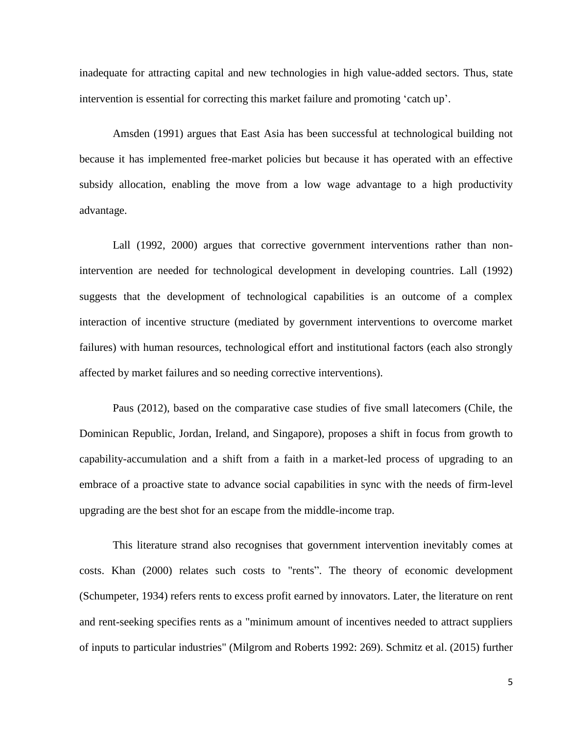inadequate for attracting capital and new technologies in high value-added sectors. Thus, state intervention is essential for correcting this market failure and promoting 'catch up'.

Amsden (1991) argues that East Asia has been successful at technological building not because it has implemented free-market policies but because it has operated with an effective subsidy allocation, enabling the move from a low wage advantage to a high productivity advantage.

Lall (1992, 2000) argues that corrective government interventions rather than nonintervention are needed for technological development in developing countries. Lall (1992) suggests that the development of technological capabilities is an outcome of a complex interaction of incentive structure (mediated by government interventions to overcome market failures) with human resources, technological effort and institutional factors (each also strongly affected by market failures and so needing corrective interventions).

Paus (2012), based on the comparative case studies of five small latecomers (Chile, the Dominican Republic, Jordan, Ireland, and Singapore), proposes a shift in focus from growth to capability-accumulation and a shift from a faith in a market-led process of upgrading to an embrace of a proactive state to advance social capabilities in sync with the needs of firm-level upgrading are the best shot for an escape from the middle-income trap.

This literature strand also recognises that government intervention inevitably comes at costs. Khan (2000) relates such costs to "rents". The theory of economic development (Schumpeter, 1934) refers rents to excess profit earned by innovators. Later, the literature on rent and rent-seeking specifies rents as a "minimum amount of incentives needed to attract suppliers of inputs to particular industries" (Milgrom and Roberts 1992: 269). Schmitz et al. (2015) further

5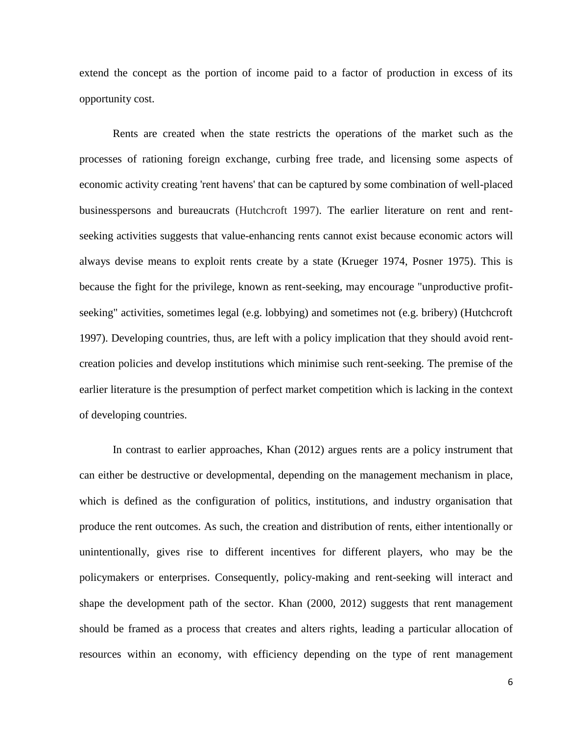extend the concept as the portion of income paid to a factor of production in excess of its opportunity cost.

Rents are created when the state restricts the operations of the market such as the processes of rationing foreign exchange, curbing free trade, and licensing some aspects of economic activity creating 'rent havens' that can be captured by some combination of well-placed businesspersons and bureaucrats (Hutchcroft 1997). The earlier literature on rent and rentseeking activities suggests that value-enhancing rents cannot exist because economic actors will always devise means to exploit rents create by a state (Krueger 1974, Posner 1975). This is because the fight for the privilege, known as rent-seeking, may encourage "unproductive profitseeking" activities, sometimes legal (e.g. lobbying) and sometimes not (e.g. bribery) (Hutchcroft 1997). Developing countries, thus, are left with a policy implication that they should avoid rentcreation policies and develop institutions which minimise such rent-seeking. The premise of the earlier literature is the presumption of perfect market competition which is lacking in the context of developing countries.

In contrast to earlier approaches, Khan (2012) argues rents are a policy instrument that can either be destructive or developmental, depending on the management mechanism in place, which is defined as the configuration of politics, institutions, and industry organisation that produce the rent outcomes. As such, the creation and distribution of rents, either intentionally or unintentionally, gives rise to different incentives for different players, who may be the policymakers or enterprises. Consequently, policy-making and rent-seeking will interact and shape the development path of the sector. Khan (2000, 2012) suggests that rent management should be framed as a process that creates and alters rights, leading a particular allocation of resources within an economy, with efficiency depending on the type of rent management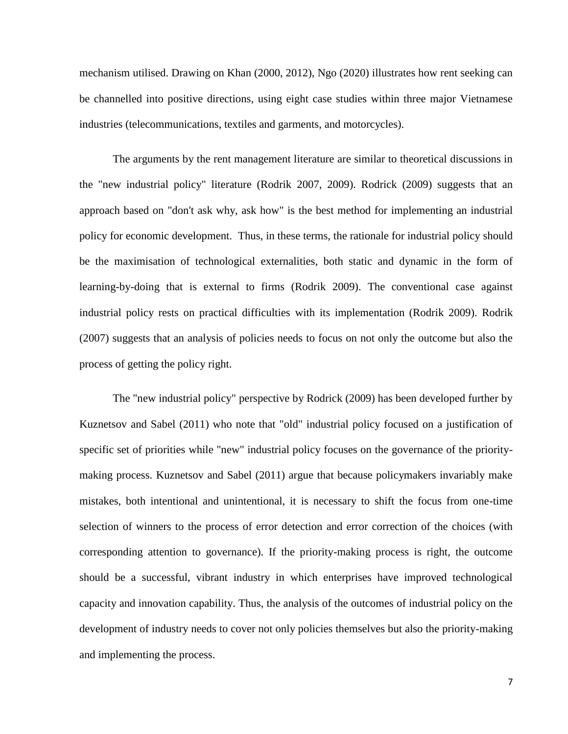mechanism utilised. Drawing on Khan (2000, 2012), Ngo (2020) illustrates how rent seeking can be channelled into positive directions, using eight case studies within three major Vietnamese industries (telecommunications, textiles and garments, and motorcycles).

The arguments by the rent management literature are similar to theoretical discussions in the "new industrial policy" literature (Rodrik 2007, 2009). Rodrick (2009) suggests that an approach based on "don't ask why, ask how" is the best method for implementing an industrial policy for economic development. Thus, in these terms, the rationale for industrial policy should be the maximisation of technological externalities, both static and dynamic in the form of learning-by-doing that is external to firms (Rodrik 2009). The conventional case against industrial policy rests on practical difficulties with its implementation (Rodrik 2009). Rodrik (2007) suggests that an analysis of policies needs to focus on not only the outcome but also the process of getting the policy right.

The "new industrial policy" perspective by Rodrick (2009) has been developed further by Kuznetsov and Sabel (2011) who note that "old" industrial policy focused on a justification of specific set of priorities while "new" industrial policy focuses on the governance of the prioritymaking process. Kuznetsov and Sabel (2011) argue that because policymakers invariably make mistakes, both intentional and unintentional, it is necessary to shift the focus from one-time selection of winners to the process of error detection and error correction of the choices (with corresponding attention to governance). If the priority-making process is right, the outcome should be a successful, vibrant industry in which enterprises have improved technological capacity and innovation capability. Thus, the analysis of the outcomes of industrial policy on the development of industry needs to cover not only policies themselves but also the priority-making and implementing the process.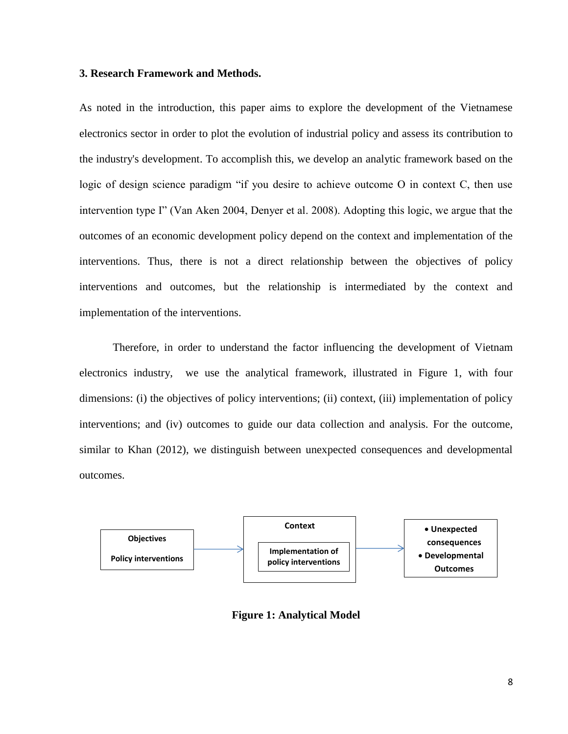### **3. Research Framework and Methods.**

As noted in the introduction, this paper aims to explore the development of the Vietnamese electronics sector in order to plot the evolution of industrial policy and assess its contribution to the industry's development. To accomplish this, we develop an analytic framework based on the logic of design science paradigm "if you desire to achieve outcome O in context C, then use intervention type I" (Van Aken 2004, Denyer et al. 2008). Adopting this logic, we argue that the outcomes of an economic development policy depend on the context and implementation of the interventions. Thus, there is not a direct relationship between the objectives of policy interventions and outcomes, but the relationship is intermediated by the context and implementation of the interventions.

Therefore, in order to understand the factor influencing the development of Vietnam electronics industry, we use the analytical framework, illustrated in Figure 1, with four dimensions: (i) the objectives of policy interventions; (ii) context, (iii) implementation of policy interventions; and (iv) outcomes to guide our data collection and analysis. For the outcome, similar to Khan (2012), we distinguish between unexpected consequences and developmental outcomes.



**Figure 1: Analytical Model**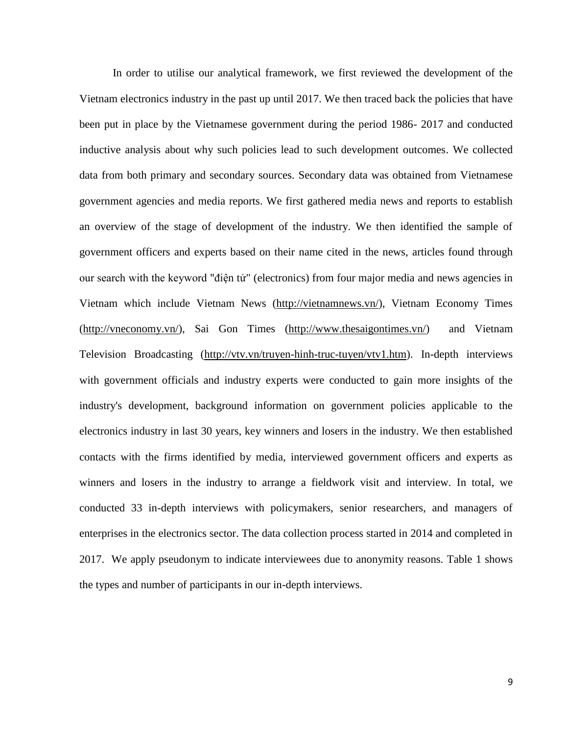In order to utilise our analytical framework, we first reviewed the development of the Vietnam electronics industry in the past up until 2017. We then traced back the policies that have been put in place by the Vietnamese government during the period 1986- 2017 and conducted inductive analysis about why such policies lead to such development outcomes. We collected data from both primary and secondary sources. Secondary data was obtained from Vietnamese government agencies and media reports. We first gathered media news and reports to establish an overview of the stage of development of the industry. We then identified the sample of government officers and experts based on their name cited in the news, articles found through our search with the keyword "điện tử" (electronics) from four major media and news agencies in Vietnam which include Vietnam News [\(http://vietnamnews.vn/\)](http://vietnamnews.vn/), Vietnam Economy Times [\(http://vneconomy.vn/\)](http://vneconomy.vn/), Sai Gon Times [\(http://www.thesaigontimes.vn/\)](http://www.thesaigontimes.vn/) and Vietnam Television Broadcasting [\(http://vtv.vn/truyen-hinh-truc-tuyen/vtv1.htm\)](http://vtv.vn/truyen-hinh-truc-tuyen/vtv1.htm). In-depth interviews with government officials and industry experts were conducted to gain more insights of the industry's development, background information on government policies applicable to the electronics industry in last 30 years, key winners and losers in the industry. We then established contacts with the firms identified by media, interviewed government officers and experts as winners and losers in the industry to arrange a fieldwork visit and interview. In total, we conducted 33 in-depth interviews with policymakers, senior researchers, and managers of enterprises in the electronics sector. The data collection process started in 2014 and completed in 2017. We apply pseudonym to indicate interviewees due to anonymity reasons. Table 1 shows the types and number of participants in our in-depth interviews.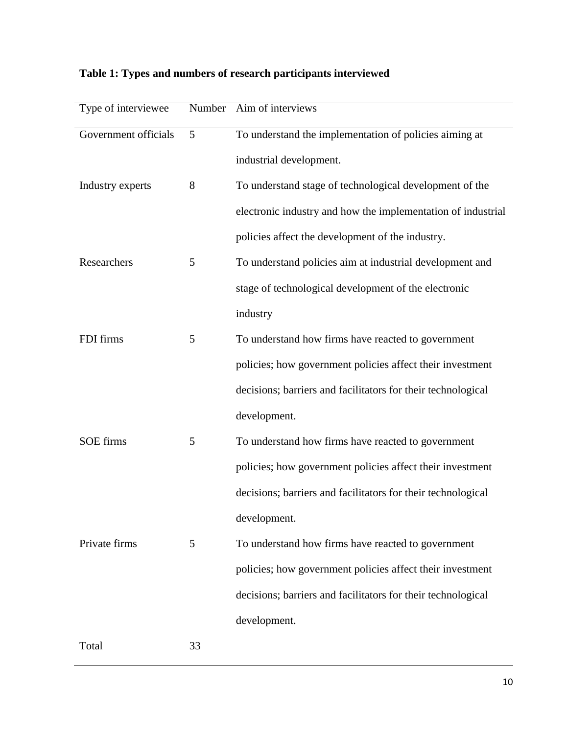| Type of interviewee  | Number | Aim of interviews                                            |
|----------------------|--------|--------------------------------------------------------------|
| Government officials | 5      | To understand the implementation of policies aiming at       |
|                      |        | industrial development.                                      |
| Industry experts     | 8      | To understand stage of technological development of the      |
|                      |        | electronic industry and how the implementation of industrial |
|                      |        | policies affect the development of the industry.             |
| Researchers          | 5      | To understand policies aim at industrial development and     |
|                      |        | stage of technological development of the electronic         |
|                      |        | industry                                                     |
| FDI firms            | 5      | To understand how firms have reacted to government           |
|                      |        | policies; how government policies affect their investment    |
|                      |        | decisions; barriers and facilitators for their technological |
|                      |        | development.                                                 |
| <b>SOE</b> firms     | 5      | To understand how firms have reacted to government           |
|                      |        | policies; how government policies affect their investment    |
|                      |        | decisions; barriers and facilitators for their technological |
|                      |        | development.                                                 |
| Private firms        | 5      | To understand how firms have reacted to government           |
|                      |        | policies; how government policies affect their investment    |
|                      |        | decisions; barriers and facilitators for their technological |
|                      |        | development.                                                 |
| Total                | 33     |                                                              |

# **Table 1: Types and numbers of research participants interviewed**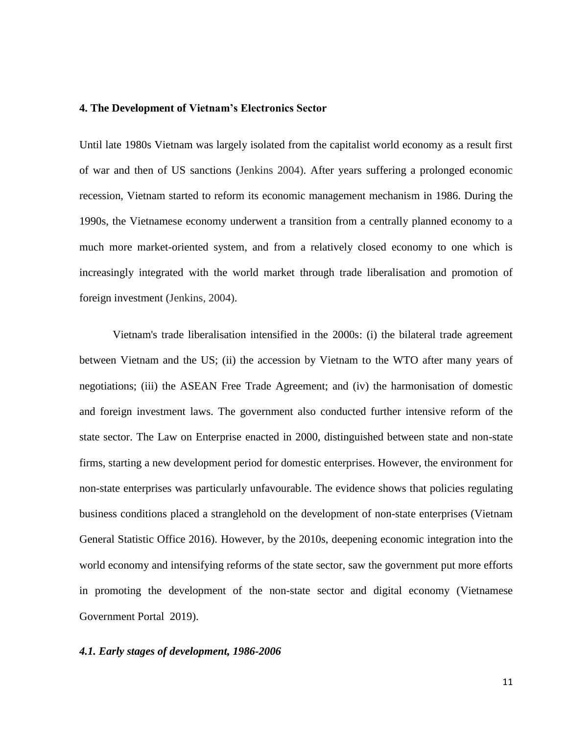#### **4. The Development of Vietnam's Electronics Sector**

Until late 1980s Vietnam was largely isolated from the capitalist world economy as a result first of war and then of US sanctions (Jenkins 2004). After years suffering a prolonged economic recession, Vietnam started to reform its economic management mechanism in 1986. During the 1990s, the Vietnamese economy underwent a transition from a centrally planned economy to a much more market-oriented system, and from a relatively closed economy to one which is increasingly integrated with the world market through trade liberalisation and promotion of foreign investment (Jenkins, 2004).

Vietnam's trade liberalisation intensified in the 2000s: (i) the bilateral trade agreement between Vietnam and the US; (ii) the accession by Vietnam to the WTO after many years of negotiations; (iii) the ASEAN Free Trade Agreement; and (iv) the harmonisation of domestic and foreign investment laws. The government also conducted further intensive reform of the state sector. The Law on Enterprise enacted in 2000, distinguished between state and non-state firms, starting a new development period for domestic enterprises. However, the environment for non-state enterprises was particularly unfavourable. The evidence shows that policies regulating business conditions placed a stranglehold on the development of non-state enterprises (Vietnam General Statistic Office 2016). However, by the 2010s, deepening economic integration into the world economy and intensifying reforms of the state sector, saw the government put more efforts in promoting the development of the non-state sector and digital economy (Vietnamese Government Portal 2019).

#### *4.1. Early stages of development, 1986-2006*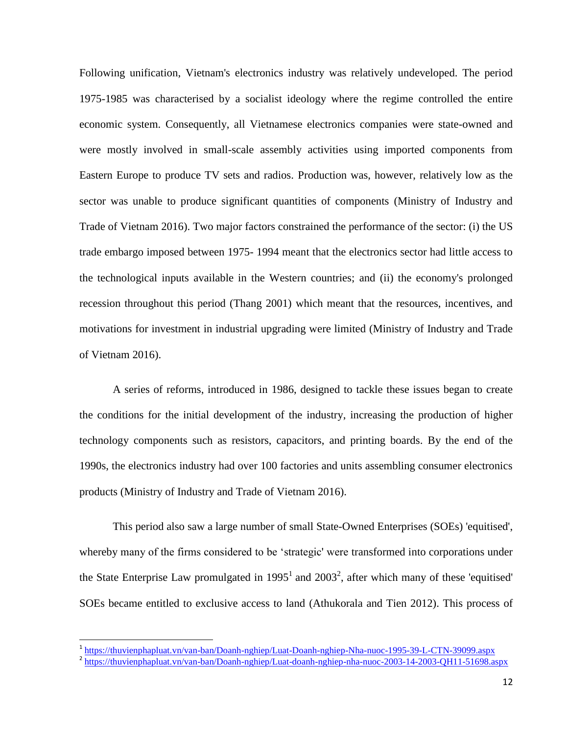Following unification, Vietnam's electronics industry was relatively undeveloped. The period 1975-1985 was characterised by a socialist ideology where the regime controlled the entire economic system. Consequently, all Vietnamese electronics companies were state-owned and were mostly involved in small-scale assembly activities using imported components from Eastern Europe to produce TV sets and radios. Production was, however, relatively low as the sector was unable to produce significant quantities of components (Ministry of Industry and Trade of Vietnam 2016). Two major factors constrained the performance of the sector: (i) the US trade embargo imposed between 1975- 1994 meant that the electronics sector had little access to the technological inputs available in the Western countries; and (ii) the economy's prolonged recession throughout this period (Thang 2001) which meant that the resources, incentives, and motivations for investment in industrial upgrading were limited (Ministry of Industry and Trade of Vietnam 2016).

A series of reforms, introduced in 1986, designed to tackle these issues began to create the conditions for the initial development of the industry, increasing the production of higher technology components such as resistors, capacitors, and printing boards. By the end of the 1990s, the electronics industry had over 100 factories and units assembling consumer electronics products (Ministry of Industry and Trade of Vietnam 2016).

This period also saw a large number of small State-Owned Enterprises (SOEs) 'equitised', whereby many of the firms considered to be 'strategic' were transformed into corporations under the State Enterprise Law promulgated in 1995<sup>1</sup> and 2003<sup>2</sup>, after which many of these 'equitised' SOEs became entitled to exclusive access to land (Athukorala and Tien 2012). This process of

l

<sup>&</sup>lt;sup>1</sup> <https://thuvienphapluat.vn/van-ban/Doanh-nghiep/Luat-Doanh-nghiep-Nha-nuoc-1995-39-L-CTN-39099.aspx>

<sup>&</sup>lt;sup>2</sup> <https://thuvienphapluat.vn/van-ban/Doanh-nghiep/Luat-doanh-nghiep-nha-nuoc-2003-14-2003-QH11-51698.aspx>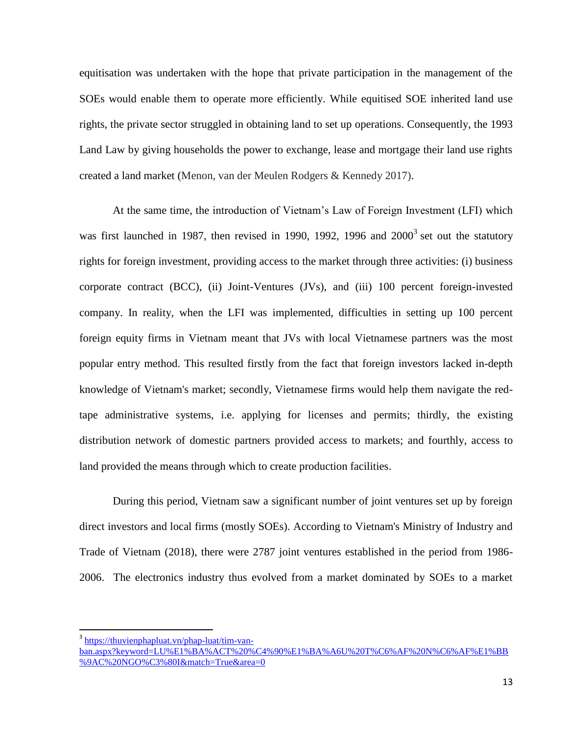equitisation was undertaken with the hope that private participation in the management of the SOEs would enable them to operate more efficiently. While equitised SOE inherited land use rights, the private sector struggled in obtaining land to set up operations. Consequently, the 1993 Land Law by giving households the power to exchange, lease and mortgage their land use rights created a land market (Menon, van der Meulen Rodgers & Kennedy 2017).

At the same time, the introduction of Vietnam's Law of Foreign Investment (LFI) which was first launched in 1987, then revised in 1990, 1992, 1996 and  $2000^3$  set out the statutory rights for foreign investment, providing access to the market through three activities: (i) business corporate contract (BCC), (ii) Joint-Ventures (JVs), and (iii) 100 percent foreign-invested company. In reality, when the LFI was implemented, difficulties in setting up 100 percent foreign equity firms in Vietnam meant that JVs with local Vietnamese partners was the most popular entry method. This resulted firstly from the fact that foreign investors lacked in-depth knowledge of Vietnam's market; secondly, Vietnamese firms would help them navigate the redtape administrative systems, i.e. applying for licenses and permits; thirdly, the existing distribution network of domestic partners provided access to markets; and fourthly, access to land provided the means through which to create production facilities.

During this period, Vietnam saw a significant number of joint ventures set up by foreign direct investors and local firms (mostly SOEs). According to Vietnam's Ministry of Industry and Trade of Vietnam (2018), there were 2787 joint ventures established in the period from 1986- 2006. The electronics industry thus evolved from a market dominated by SOEs to a market

 $\overline{\phantom{a}}$ 

<sup>&</sup>lt;sup>3</sup> [https://thuvienphapluat.vn/phap-luat/tim-van](https://thuvienphapluat.vn/phap-luat/tim-van-ban.aspx?keyword=LU%E1%BA%ACT%20%C4%90%E1%BA%A6U%20T%C6%AF%20N%C6%AF%E1%BB%9AC%20NGO%C3%80I&match=True&area=0)[ban.aspx?keyword=LU%E1%BA%ACT%20%C4%90%E1%BA%A6U%20T%C6%AF%20N%C6%AF%E1%BB](https://thuvienphapluat.vn/phap-luat/tim-van-ban.aspx?keyword=LU%E1%BA%ACT%20%C4%90%E1%BA%A6U%20T%C6%AF%20N%C6%AF%E1%BB%9AC%20NGO%C3%80I&match=True&area=0) [%9AC%20NGO%C3%80I&match=True&area=0](https://thuvienphapluat.vn/phap-luat/tim-van-ban.aspx?keyword=LU%E1%BA%ACT%20%C4%90%E1%BA%A6U%20T%C6%AF%20N%C6%AF%E1%BB%9AC%20NGO%C3%80I&match=True&area=0)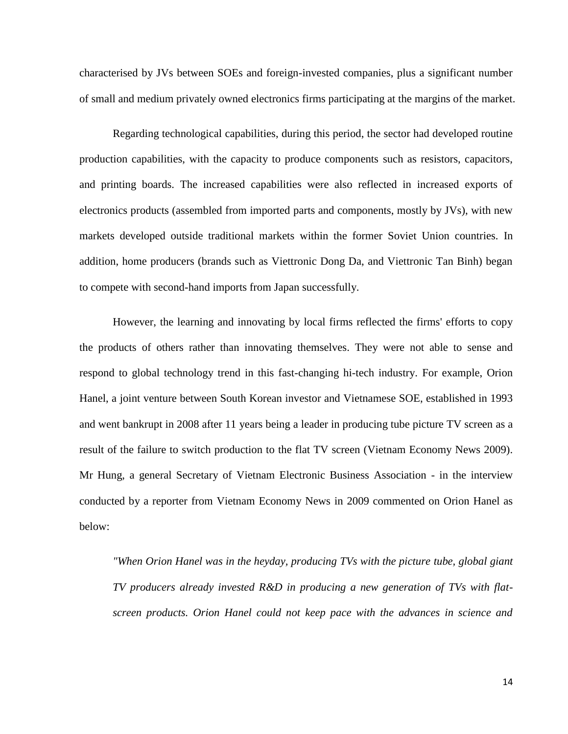characterised by JVs between SOEs and foreign-invested companies, plus a significant number of small and medium privately owned electronics firms participating at the margins of the market.

Regarding technological capabilities, during this period, the sector had developed routine production capabilities, with the capacity to produce components such as resistors, capacitors, and printing boards. The increased capabilities were also reflected in increased exports of electronics products (assembled from imported parts and components, mostly by JVs), with new markets developed outside traditional markets within the former Soviet Union countries. In addition, home producers (brands such as Viettronic Dong Da, and Viettronic Tan Binh) began to compete with second-hand imports from Japan successfully.

However, the learning and innovating by local firms reflected the firms' efforts to copy the products of others rather than innovating themselves. They were not able to sense and respond to global technology trend in this fast-changing hi-tech industry. For example, Orion Hanel, a joint venture between South Korean investor and Vietnamese SOE, established in 1993 and went bankrupt in 2008 after 11 years being a leader in producing tube picture TV screen as a result of the failure to switch production to the flat TV screen (Vietnam Economy News 2009). Mr Hung, a general Secretary of Vietnam Electronic Business Association - in the interview conducted by a reporter from Vietnam Economy News in 2009 commented on Orion Hanel as below:

*"When Orion Hanel was in the heyday, producing TVs with the picture tube, global giant TV producers already invested R&D in producing a new generation of TVs with flatscreen products. Orion Hanel could not keep pace with the advances in science and*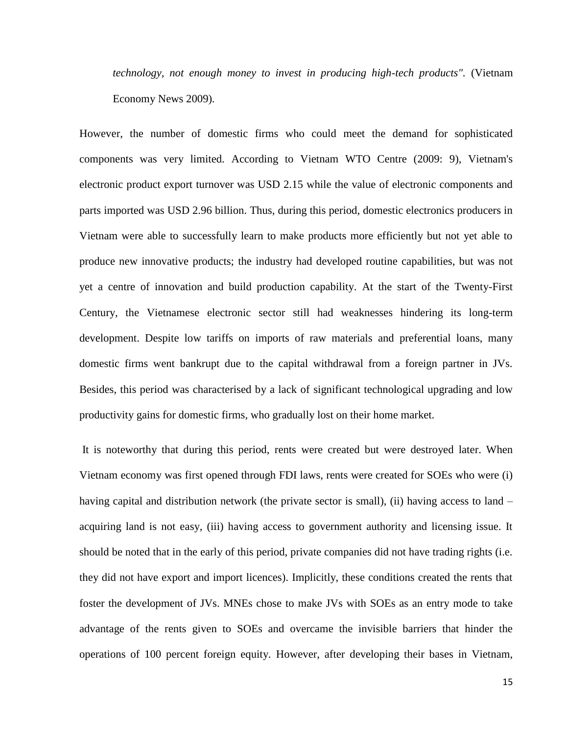*technology, not enough money to invest in producing high-tech products".* (Vietnam Economy News 2009)*.*

However, the number of domestic firms who could meet the demand for sophisticated components was very limited. According to Vietnam WTO Centre (2009: 9), Vietnam's electronic product export turnover was USD 2.15 while the value of electronic components and parts imported was USD 2.96 billion. Thus, during this period, domestic electronics producers in Vietnam were able to successfully learn to make products more efficiently but not yet able to produce new innovative products; the industry had developed routine capabilities, but was not yet a centre of innovation and build production capability. At the start of the Twenty-First Century, the Vietnamese electronic sector still had weaknesses hindering its long-term development. Despite low tariffs on imports of raw materials and preferential loans, many domestic firms went bankrupt due to the capital withdrawal from a foreign partner in JVs. Besides, this period was characterised by a lack of significant technological upgrading and low productivity gains for domestic firms, who gradually lost on their home market.

It is noteworthy that during this period, rents were created but were destroyed later. When Vietnam economy was first opened through FDI laws, rents were created for SOEs who were (i) having capital and distribution network (the private sector is small), (ii) having access to land – acquiring land is not easy, (iii) having access to government authority and licensing issue. It should be noted that in the early of this period, private companies did not have trading rights (i.e. they did not have export and import licences). Implicitly, these conditions created the rents that foster the development of JVs. MNEs chose to make JVs with SOEs as an entry mode to take advantage of the rents given to SOEs and overcame the invisible barriers that hinder the operations of 100 percent foreign equity. However, after developing their bases in Vietnam,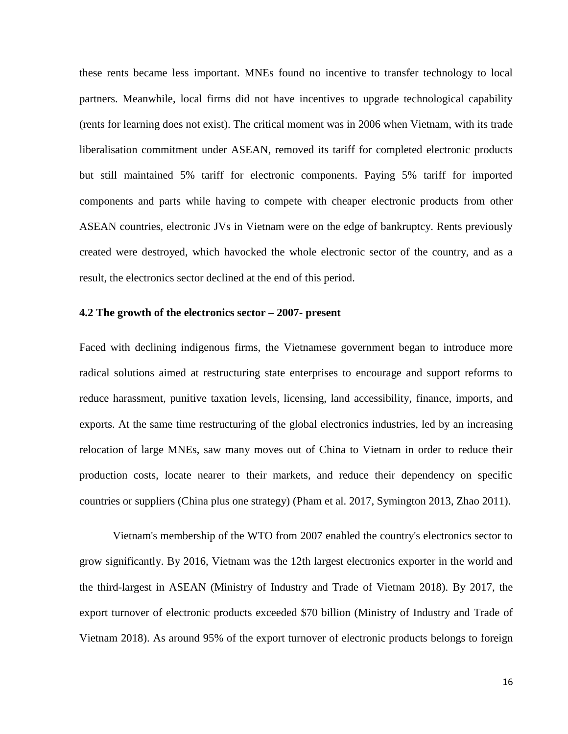these rents became less important. MNEs found no incentive to transfer technology to local partners. Meanwhile, local firms did not have incentives to upgrade technological capability (rents for learning does not exist). The critical moment was in 2006 when Vietnam, with its trade liberalisation commitment under ASEAN, removed its tariff for completed electronic products but still maintained 5% tariff for electronic components. Paying 5% tariff for imported components and parts while having to compete with cheaper electronic products from other ASEAN countries, electronic JVs in Vietnam were on the edge of bankruptcy. Rents previously created were destroyed, which havocked the whole electronic sector of the country, and as a result, the electronics sector declined at the end of this period.

#### **4.2 The growth of the electronics sector – 2007- present**

Faced with declining indigenous firms, the Vietnamese government began to introduce more radical solutions aimed at restructuring state enterprises to encourage and support reforms to reduce harassment, punitive taxation levels, licensing, land accessibility, finance, imports, and exports. At the same time restructuring of the global electronics industries, led by an increasing relocation of large MNEs, saw many moves out of China to Vietnam in order to reduce their production costs, locate nearer to their markets, and reduce their dependency on specific countries or suppliers (China plus one strategy) (Pham et al. 2017, Symington 2013, Zhao 2011).

Vietnam's membership of the WTO from 2007 enabled the country's electronics sector to grow significantly. By 2016, Vietnam was the 12th largest electronics exporter in the world and the third-largest in ASEAN (Ministry of Industry and Trade of Vietnam 2018). By 2017, the export turnover of electronic products exceeded \$70 billion (Ministry of Industry and Trade of Vietnam 2018). As around 95% of the export turnover of electronic products belongs to foreign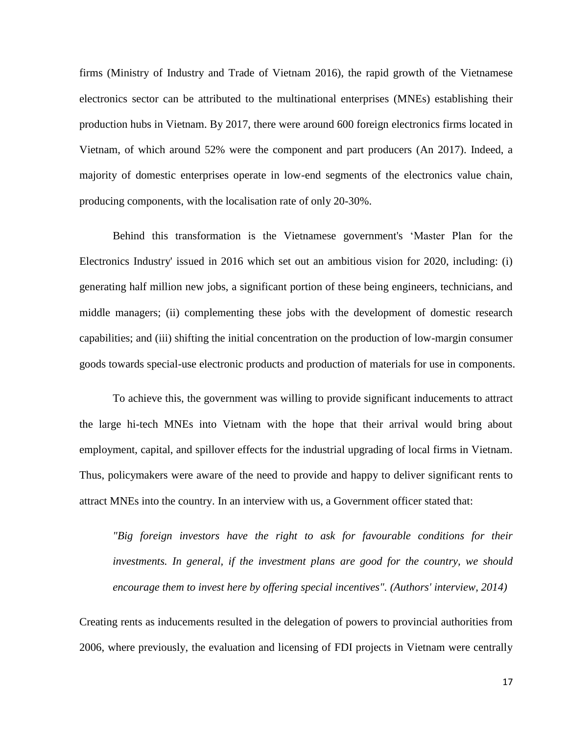firms (Ministry of Industry and Trade of Vietnam 2016), the rapid growth of the Vietnamese electronics sector can be attributed to the multinational enterprises (MNEs) establishing their production hubs in Vietnam. By 2017, there were around 600 foreign electronics firms located in Vietnam, of which around 52% were the component and part producers (An 2017). Indeed, a majority of domestic enterprises operate in low-end segments of the electronics value chain, producing components, with the localisation rate of only 20-30%.

Behind this transformation is the Vietnamese government's 'Master Plan for the Electronics Industry' issued in 2016 which set out an ambitious vision for 2020, including: (i) generating half million new jobs, a significant portion of these being engineers, technicians, and middle managers; (ii) complementing these jobs with the development of domestic research capabilities; and (iii) shifting the initial concentration on the production of low-margin consumer goods towards special-use electronic products and production of materials for use in components.

To achieve this, the government was willing to provide significant inducements to attract the large hi-tech MNEs into Vietnam with the hope that their arrival would bring about employment, capital, and spillover effects for the industrial upgrading of local firms in Vietnam. Thus, policymakers were aware of the need to provide and happy to deliver significant rents to attract MNEs into the country. In an interview with us, a Government officer stated that:

*"Big foreign investors have the right to ask for favourable conditions for their investments. In general, if the investment plans are good for the country, we should encourage them to invest here by offering special incentives". (Authors' interview, 2014)* 

Creating rents as inducements resulted in the delegation of powers to provincial authorities from 2006, where previously, the evaluation and licensing of FDI projects in Vietnam were centrally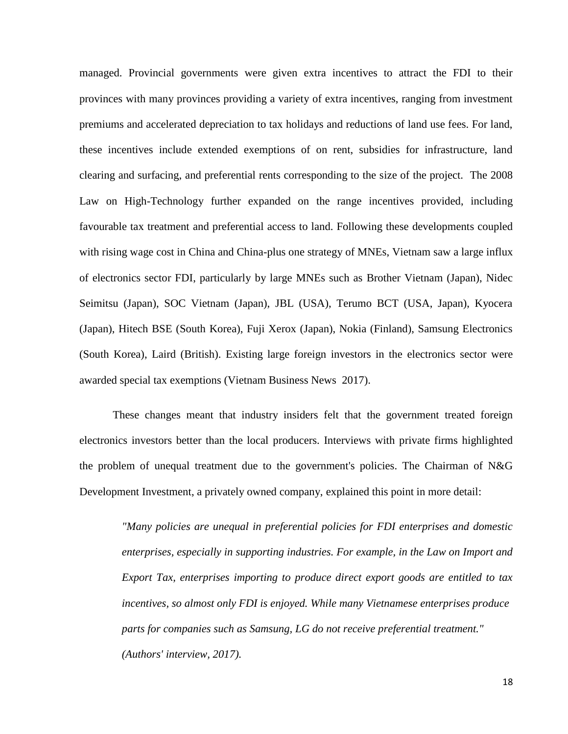managed. Provincial governments were given extra incentives to attract the FDI to their provinces with many provinces providing a variety of extra incentives, ranging from investment premiums and accelerated depreciation to tax holidays and reductions of land use fees. For land, these incentives include extended exemptions of on rent, subsidies for infrastructure, land clearing and surfacing, and preferential rents corresponding to the size of the project. The 2008 Law on High-Technology further expanded on the range incentives provided, including favourable tax treatment and preferential access to land. Following these developments coupled with rising wage cost in China and China-plus one strategy of MNEs, Vietnam saw a large influx of electronics sector FDI, particularly by large MNEs such as Brother Vietnam (Japan), Nidec Seimitsu (Japan), SOC Vietnam (Japan), JBL (USA), Terumo BCT (USA, Japan), Kyocera (Japan), Hitech BSE (South Korea), Fuji Xerox (Japan), Nokia (Finland), Samsung Electronics (South Korea), Laird (British). Existing large foreign investors in the electronics sector were awarded special tax exemptions (Vietnam Business News 2017).

These changes meant that industry insiders felt that the government treated foreign electronics investors better than the local producers. Interviews with private firms highlighted the problem of unequal treatment due to the government's policies. The Chairman of N&G Development Investment, a privately owned company, explained this point in more detail:

*"Many policies are unequal in preferential policies for FDI enterprises and domestic enterprises, especially in supporting industries. For example, in the Law on Import and Export Tax, enterprises importing to produce direct export goods are entitled to tax incentives, so almost only FDI is enjoyed. While many Vietnamese enterprises produce parts for companies such as Samsung, LG do not receive preferential treatment." (Authors' interview, 2017).*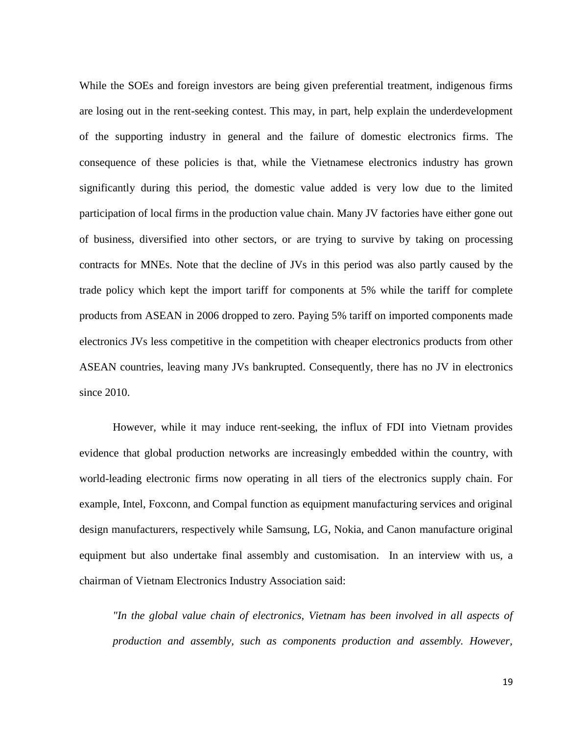While the SOEs and foreign investors are being given preferential treatment, indigenous firms are losing out in the rent-seeking contest. This may, in part, help explain the underdevelopment of the supporting industry in general and the failure of domestic electronics firms. The consequence of these policies is that, while the Vietnamese electronics industry has grown significantly during this period, the domestic value added is very low due to the limited participation of local firms in the production value chain. Many JV factories have either gone out of business, diversified into other sectors, or are trying to survive by taking on processing contracts for MNEs. Note that the decline of JVs in this period was also partly caused by the trade policy which kept the import tariff for components at 5% while the tariff for complete products from ASEAN in 2006 dropped to zero. Paying 5% tariff on imported components made electronics JVs less competitive in the competition with cheaper electronics products from other ASEAN countries, leaving many JVs bankrupted. Consequently, there has no JV in electronics since 2010.

However, while it may induce rent-seeking, the influx of FDI into Vietnam provides evidence that global production networks are increasingly embedded within the country, with world-leading electronic firms now operating in all tiers of the electronics supply chain. For example, Intel, Foxconn, and Compal function as equipment manufacturing services and original design manufacturers, respectively while Samsung, LG, Nokia, and Canon manufacture original equipment but also undertake final assembly and customisation. In an interview with us, a chairman of Vietnam Electronics Industry Association said:

*"In the global value chain of electronics, Vietnam has been involved in all aspects of production and assembly, such as components production and assembly. However,*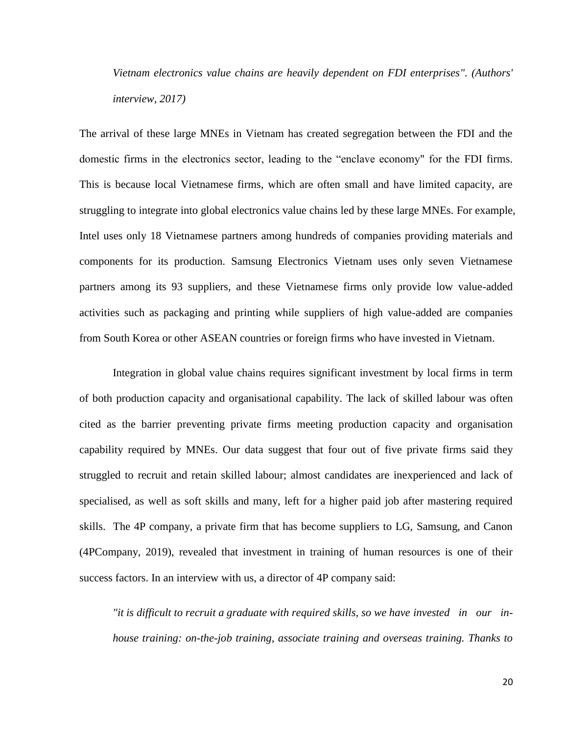*Vietnam electronics value chains are heavily dependent on FDI enterprises". (Authors' interview, 2017)*

The arrival of these large MNEs in Vietnam has created segregation between the FDI and the domestic firms in the electronics sector, leading to the "enclave economy" for the FDI firms. This is because local Vietnamese firms, which are often small and have limited capacity, are struggling to integrate into global electronics value chains led by these large MNEs. For example, Intel uses only 18 Vietnamese partners among hundreds of companies providing materials and components for its production. Samsung Electronics Vietnam uses only seven Vietnamese partners among its 93 suppliers, and these Vietnamese firms only provide low value-added activities such as packaging and printing while suppliers of high value-added are companies from South Korea or other ASEAN countries or foreign firms who have invested in Vietnam.

Integration in global value chains requires significant investment by local firms in term of both production capacity and organisational capability. The lack of skilled labour was often cited as the barrier preventing private firms meeting production capacity and organisation capability required by MNEs. Our data suggest that four out of five private firms said they struggled to recruit and retain skilled labour; almost candidates are inexperienced and lack of specialised, as well as soft skills and many, left for a higher paid job after mastering required skills. The 4P company, a private firm that has become suppliers to LG, Samsung, and Canon (4PCompany, 2019), revealed that investment in training of human resources is one of their success factors. In an interview with us, a director of 4P company said:

*"it is difficult to recruit a graduate with required skills, so we have invested in our inhouse training: on-the-job training, associate training and overseas training. Thanks to*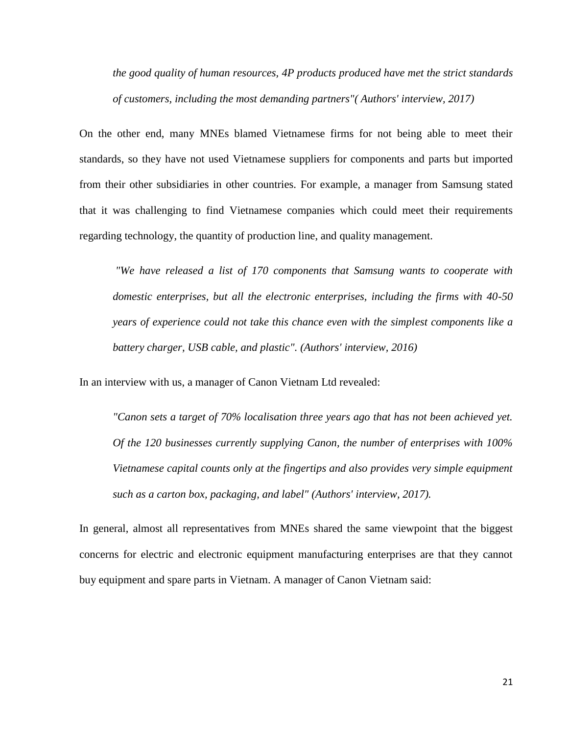*the good quality of human resources, 4P products produced have met the strict standards of customers, including the most demanding partners"( Authors' interview, 2017)*

On the other end, many MNEs blamed Vietnamese firms for not being able to meet their standards, so they have not used Vietnamese suppliers for components and parts but imported from their other subsidiaries in other countries. For example, a manager from Samsung stated that it was challenging to find Vietnamese companies which could meet their requirements regarding technology, the quantity of production line, and quality management.

*"We have released a list of 170 components that Samsung wants to cooperate with domestic enterprises, but all the electronic enterprises, including the firms with 40-50 years of experience could not take this chance even with the simplest components like a battery charger, USB cable, and plastic". (Authors' interview, 2016)* 

In an interview with us, a manager of Canon Vietnam Ltd revealed:

*"Canon sets a target of 70% localisation three years ago that has not been achieved yet. Of the 120 businesses currently supplying Canon, the number of enterprises with 100% Vietnamese capital counts only at the fingertips and also provides very simple equipment such as a carton box, packaging, and label" (Authors' interview, 2017).* 

In general, almost all representatives from MNEs shared the same viewpoint that the biggest concerns for electric and electronic equipment manufacturing enterprises are that they cannot buy equipment and spare parts in Vietnam. A manager of Canon Vietnam said: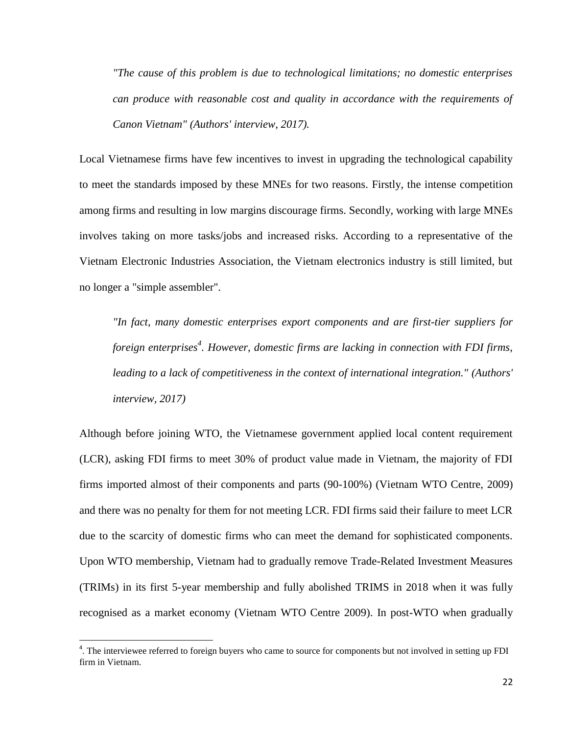*"The cause of this problem is due to technological limitations; no domestic enterprises can produce with reasonable cost and quality in accordance with the requirements of Canon Vietnam" (Authors' interview, 2017).*

Local Vietnamese firms have few incentives to invest in upgrading the technological capability to meet the standards imposed by these MNEs for two reasons. Firstly, the intense competition among firms and resulting in low margins discourage firms. Secondly, working with large MNEs involves taking on more tasks/jobs and increased risks. According to a representative of the Vietnam Electronic Industries Association, the Vietnam electronics industry is still limited, but no longer a "simple assembler".

*"In fact, many domestic enterprises export components and are first-tier suppliers for foreign enterprises<sup>4</sup> . However, domestic firms are lacking in connection with FDI firms, leading to a lack of competitiveness in the context of international integration." (Authors' interview, 2017)*

Although before joining WTO, the Vietnamese government applied local content requirement (LCR), asking FDI firms to meet 30% of product value made in Vietnam, the majority of FDI firms imported almost of their components and parts (90-100%) (Vietnam WTO Centre, 2009) and there was no penalty for them for not meeting LCR. FDI firms said their failure to meet LCR due to the scarcity of domestic firms who can meet the demand for sophisticated components. Upon WTO membership, Vietnam had to gradually remove Trade-Related Investment Measures (TRIMs) in its first 5-year membership and fully abolished TRIMS in 2018 when it was fully recognised as a market economy (Vietnam WTO Centre 2009). In post-WTO when gradually

l

<sup>&</sup>lt;sup>4</sup>. The interviewee referred to foreign buyers who came to source for components but not involved in setting up FDI firm in Vietnam.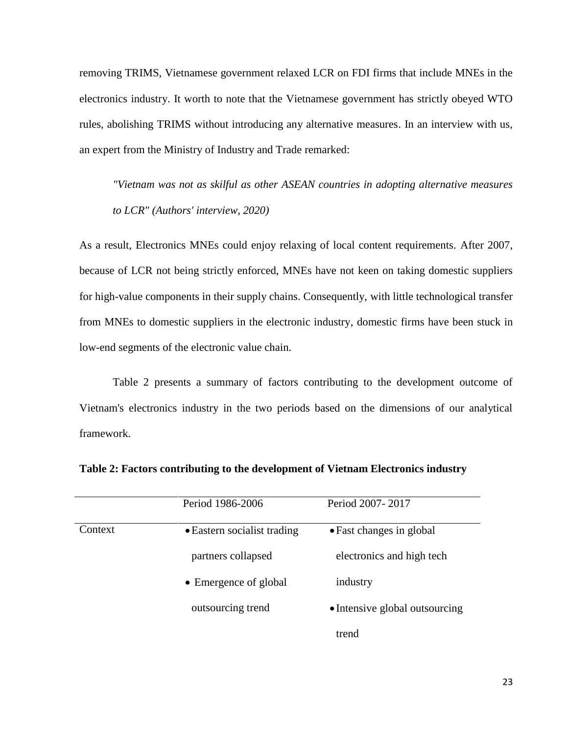removing TRIMS, Vietnamese government relaxed LCR on FDI firms that include MNEs in the electronics industry. It worth to note that the Vietnamese government has strictly obeyed WTO rules, abolishing TRIMS without introducing any alternative measures. In an interview with us, an expert from the Ministry of Industry and Trade remarked:

*"Vietnam was not as skilful as other ASEAN countries in adopting alternative measures to LCR" (Authors' interview, 2020)*

As a result, Electronics MNEs could enjoy relaxing of local content requirements. After 2007, because of LCR not being strictly enforced, MNEs have not keen on taking domestic suppliers for high-value components in their supply chains. Consequently, with little technological transfer from MNEs to domestic suppliers in the electronic industry, domestic firms have been stuck in low-end segments of the electronic value chain.

Table 2 presents a summary of factors contributing to the development outcome of Vietnam's electronics industry in the two periods based on the dimensions of our analytical framework.

|         | Period 1986-2006            | Period 2007-2017               |
|---------|-----------------------------|--------------------------------|
| Context | • Eastern socialist trading | • Fast changes in global       |
|         | partners collapsed          | electronics and high tech      |
|         | • Emergence of global       | industry                       |
|         | outsourcing trend           | • Intensive global outsourcing |
|         |                             | trend                          |

**Table 2: Factors contributing to the development of Vietnam Electronics industry**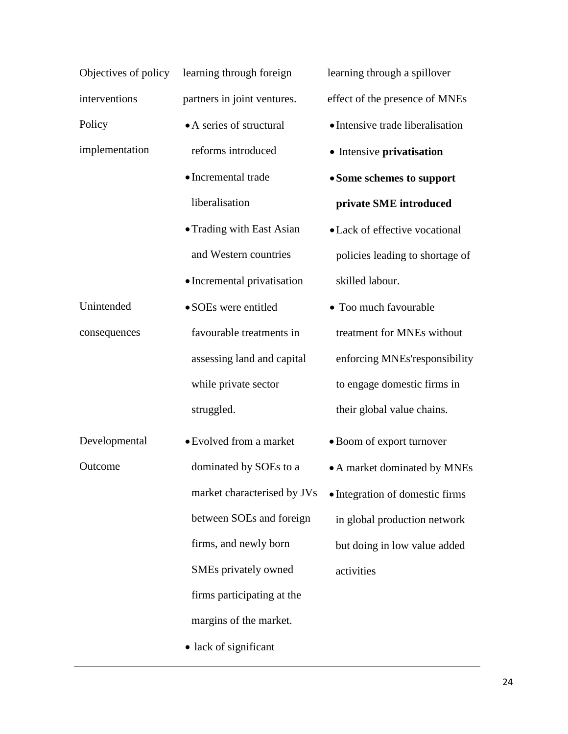|                | Objectives of policy learning through foreign |
|----------------|-----------------------------------------------|
| interventions  | partners in joint ventures.                   |
| Policy         | • A series of structural                      |
| implementation | reforms introduced                            |
|                | • Incremental trade                           |
|                | liberalisation                                |
|                | • Trading with East Asian                     |
|                | and Western countries                         |
|                | • Incremental privatisation                   |
| Unintended     | · SOEs were entitled                          |
| consequences   | favourable treatments in                      |
|                | assessing land and capital                    |
|                | while private sector                          |
|                | struggled.                                    |
| Developmental  | • Evolved from a market                       |
| Outcome        | dominated by SOEs to a                        |
|                | market characterised by JVs                   |
|                | between SOEs and foreign                      |
|                | firms, and newly born                         |
|                | SMEs privately owned                          |
|                | firms participating at the                    |
|                | margins of the market.                        |
|                | • lack of significant                         |

learning through a spillover effect of the presence of MNEs

- Intensive trade liberalisation
- **•** Intensive privatisation
- **Some schemes to support private SME introduced**
- Lack of effective vocational policies leading to shortage of skilled labour.
- Too much favourable treatment for MNEs without enforcing MNEs'responsibility to engage domestic firms in their global value chains.
- Boom of export turnover
- A market dominated by MNEs
- Integration of domestic firms in global production network but doing in low value added activities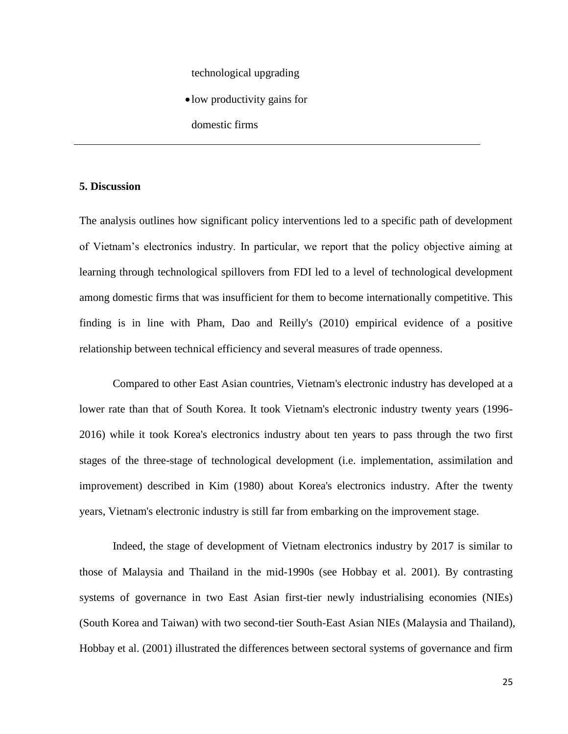# technological upgrading

- low productivity gains for
- domestic firms

#### **5. Discussion**

The analysis outlines how significant policy interventions led to a specific path of development of Vietnam's electronics industry. In particular, we report that the policy objective aiming at learning through technological spillovers from FDI led to a level of technological development among domestic firms that was insufficient for them to become internationally competitive. This finding is in line with Pham, Dao and Reilly's (2010) empirical evidence of a positive relationship between technical efficiency and several measures of trade openness.

Compared to other East Asian countries, Vietnam's electronic industry has developed at a lower rate than that of South Korea. It took Vietnam's electronic industry twenty years (1996- 2016) while it took Korea's electronics industry about ten years to pass through the two first stages of the three-stage of technological development (i.e. implementation, assimilation and improvement) described in Kim (1980) about Korea's electronics industry. After the twenty years, Vietnam's electronic industry is still far from embarking on the improvement stage.

Indeed, the stage of development of Vietnam electronics industry by 2017 is similar to those of Malaysia and Thailand in the mid-1990s (see Hobbay et al. 2001). By contrasting systems of governance in two East Asian first-tier newly industrialising economies (NIEs) (South Korea and Taiwan) with two second-tier South-East Asian NIEs (Malaysia and Thailand), Hobbay et al. (2001) illustrated the differences between sectoral systems of governance and firm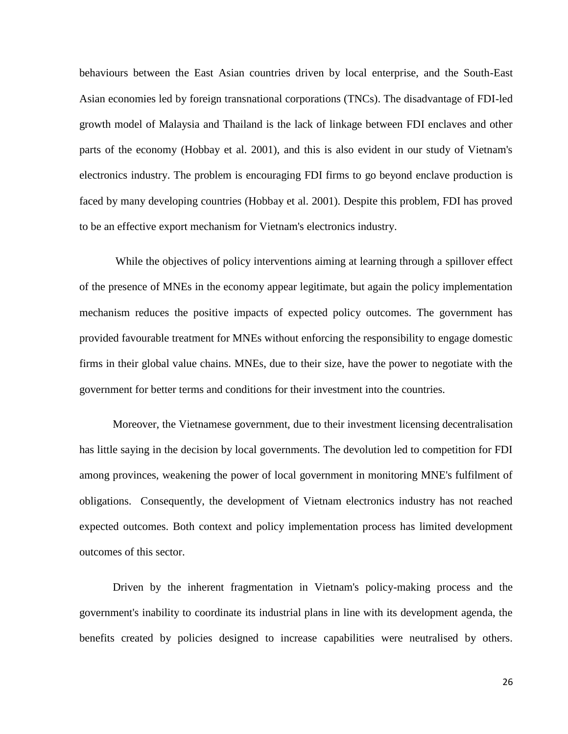behaviours between the East Asian countries driven by local enterprise, and the South-East Asian economies led by foreign transnational corporations (TNCs). The disadvantage of FDI-led growth model of Malaysia and Thailand is the lack of linkage between FDI enclaves and other parts of the economy (Hobbay et al. 2001), and this is also evident in our study of Vietnam's electronics industry. The problem is encouraging FDI firms to go beyond enclave production is faced by many developing countries (Hobbay et al. 2001). Despite this problem, FDI has proved to be an effective export mechanism for Vietnam's electronics industry.

While the objectives of policy interventions aiming at learning through a spillover effect of the presence of MNEs in the economy appear legitimate, but again the policy implementation mechanism reduces the positive impacts of expected policy outcomes. The government has provided favourable treatment for MNEs without enforcing the responsibility to engage domestic firms in their global value chains. MNEs, due to their size, have the power to negotiate with the government for better terms and conditions for their investment into the countries.

Moreover, the Vietnamese government, due to their investment licensing decentralisation has little saying in the decision by local governments. The devolution led to competition for FDI among provinces, weakening the power of local government in monitoring MNE's fulfilment of obligations. Consequently, the development of Vietnam electronics industry has not reached expected outcomes. Both context and policy implementation process has limited development outcomes of this sector.

Driven by the inherent fragmentation in Vietnam's policy-making process and the government's inability to coordinate its industrial plans in line with its development agenda, the benefits created by policies designed to increase capabilities were neutralised by others.

26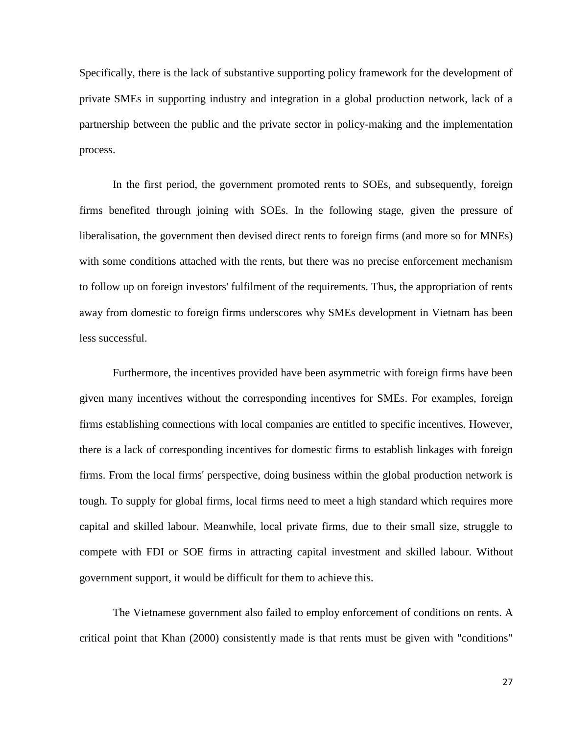Specifically, there is the lack of substantive supporting policy framework for the development of private SMEs in supporting industry and integration in a global production network, lack of a partnership between the public and the private sector in policy-making and the implementation process.

In the first period, the government promoted rents to SOEs, and subsequently, foreign firms benefited through joining with SOEs. In the following stage, given the pressure of liberalisation, the government then devised direct rents to foreign firms (and more so for MNEs) with some conditions attached with the rents, but there was no precise enforcement mechanism to follow up on foreign investors' fulfilment of the requirements. Thus, the appropriation of rents away from domestic to foreign firms underscores why SMEs development in Vietnam has been less successful.

Furthermore, the incentives provided have been asymmetric with foreign firms have been given many incentives without the corresponding incentives for SMEs. For examples, foreign firms establishing connections with local companies are entitled to specific incentives. However, there is a lack of corresponding incentives for domestic firms to establish linkages with foreign firms. From the local firms' perspective, doing business within the global production network is tough. To supply for global firms, local firms need to meet a high standard which requires more capital and skilled labour. Meanwhile, local private firms, due to their small size, struggle to compete with FDI or SOE firms in attracting capital investment and skilled labour. Without government support, it would be difficult for them to achieve this.

The Vietnamese government also failed to employ enforcement of conditions on rents. A critical point that Khan (2000) consistently made is that rents must be given with "conditions"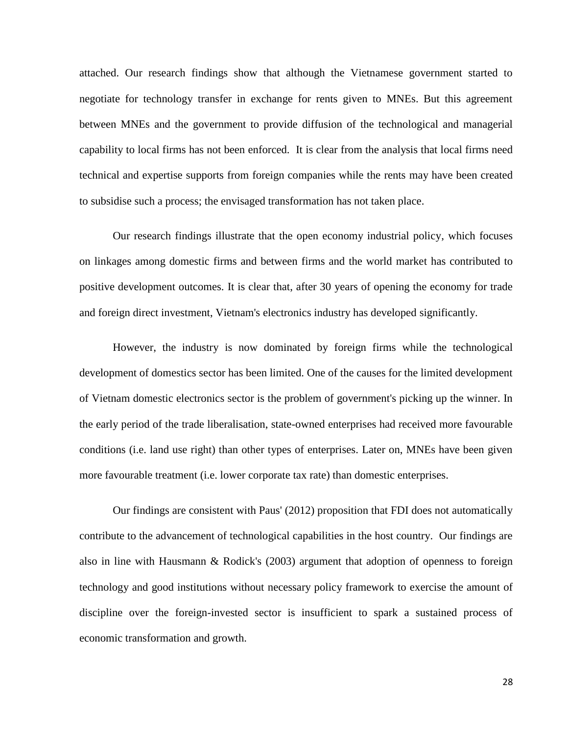attached. Our research findings show that although the Vietnamese government started to negotiate for technology transfer in exchange for rents given to MNEs. But this agreement between MNEs and the government to provide diffusion of the technological and managerial capability to local firms has not been enforced. It is clear from the analysis that local firms need technical and expertise supports from foreign companies while the rents may have been created to subsidise such a process; the envisaged transformation has not taken place.

Our research findings illustrate that the open economy industrial policy, which focuses on linkages among domestic firms and between firms and the world market has contributed to positive development outcomes. It is clear that, after 30 years of opening the economy for trade and foreign direct investment, Vietnam's electronics industry has developed significantly.

However, the industry is now dominated by foreign firms while the technological development of domestics sector has been limited. One of the causes for the limited development of Vietnam domestic electronics sector is the problem of government's picking up the winner. In the early period of the trade liberalisation, state-owned enterprises had received more favourable conditions (i.e. land use right) than other types of enterprises. Later on, MNEs have been given more favourable treatment (i.e. lower corporate tax rate) than domestic enterprises.

Our findings are consistent with Paus' (2012) proposition that FDI does not automatically contribute to the advancement of technological capabilities in the host country. Our findings are also in line with Hausmann & Rodick's (2003) argument that adoption of openness to foreign technology and good institutions without necessary policy framework to exercise the amount of discipline over the foreign-invested sector is insufficient to spark a sustained process of economic transformation and growth.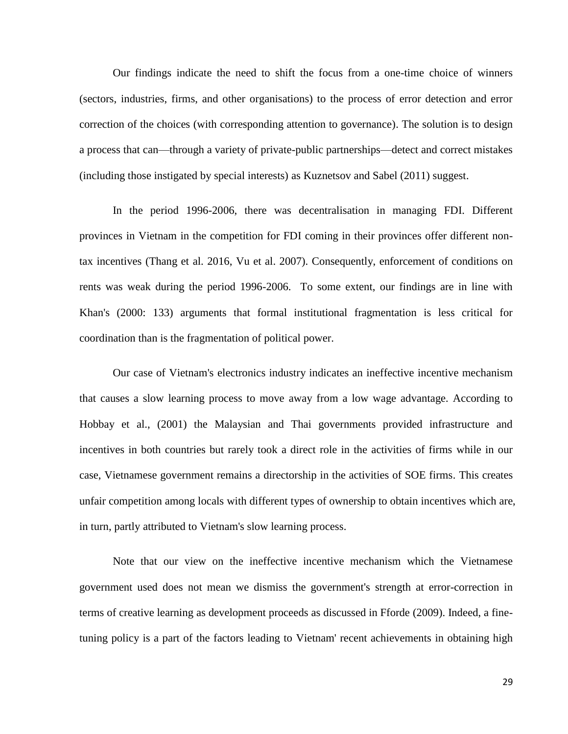Our findings indicate the need to shift the focus from a one-time choice of winners (sectors, industries, firms, and other organisations) to the process of error detection and error correction of the choices (with corresponding attention to governance). The solution is to design a process that can—through a variety of private-public partnerships—detect and correct mistakes (including those instigated by special interests) as Kuznetsov and Sabel (2011) suggest.

In the period 1996-2006, there was decentralisation in managing FDI. Different provinces in Vietnam in the competition for FDI coming in their provinces offer different nontax incentives (Thang et al. 2016, Vu et al. 2007). Consequently, enforcement of conditions on rents was weak during the period 1996-2006. To some extent, our findings are in line with Khan's (2000: 133) arguments that formal institutional fragmentation is less critical for coordination than is the fragmentation of political power.

Our case of Vietnam's electronics industry indicates an ineffective incentive mechanism that causes a slow learning process to move away from a low wage advantage. According to Hobbay et al., (2001) the Malaysian and Thai governments provided infrastructure and incentives in both countries but rarely took a direct role in the activities of firms while in our case, Vietnamese government remains a directorship in the activities of SOE firms. This creates unfair competition among locals with different types of ownership to obtain incentives which are, in turn, partly attributed to Vietnam's slow learning process.

Note that our view on the ineffective incentive mechanism which the Vietnamese government used does not mean we dismiss the government's strength at error-correction in terms of creative learning as development proceeds as discussed in Fforde (2009). Indeed, a finetuning policy is a part of the factors leading to Vietnam' recent achievements in obtaining high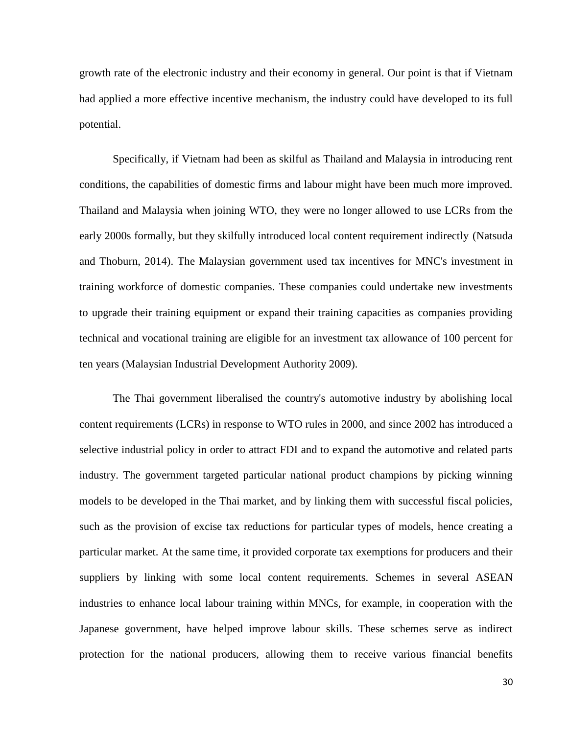growth rate of the electronic industry and their economy in general. Our point is that if Vietnam had applied a more effective incentive mechanism, the industry could have developed to its full potential.

Specifically, if Vietnam had been as skilful as Thailand and Malaysia in introducing rent conditions, the capabilities of domestic firms and labour might have been much more improved. Thailand and Malaysia when joining WTO, they were no longer allowed to use LCRs from the early 2000s formally, but they skilfully introduced local content requirement indirectly (Natsuda and Thoburn, 2014). The Malaysian government used tax incentives for MNC's investment in training workforce of domestic companies. These companies could undertake new investments to upgrade their training equipment or expand their training capacities as companies providing technical and vocational training are eligible for an investment tax allowance of 100 percent for ten years [\(Malaysian Industrial Development Authority 2009\)](https://www.emerald.com/insight/content/doi/10.1108/03090591011039072/full/html?casa_token=SeoWVQ2caoYAAAAA:RCfkrvHnsUYqbPqoYuP6MXhZWQXE0mfQqaNRUibeihmI2GMrfDrJFdNzGPYYfdwCZx_3Voe-5KLWi0O0pPXShqkq6KxnGSpOeg9yTpqyrxdzBkCuOAQ#b26).

The Thai government liberalised the country's automotive industry by abolishing local content requirements (LCRs) in response to WTO rules in 2000, and since 2002 has introduced a selective industrial policy in order to attract FDI and to expand the automotive and related parts industry. The government targeted particular national product champions by picking winning models to be developed in the Thai market, and by linking them with successful fiscal policies, such as the provision of excise tax reductions for particular types of models, hence creating a particular market. At the same time, it provided corporate tax exemptions for producers and their suppliers by linking with some local content requirements. Schemes in several ASEAN industries to enhance local labour training within MNCs, for example, in cooperation with the Japanese government, have helped improve labour skills. These schemes serve as indirect protection for the national producers, allowing them to receive various financial benefits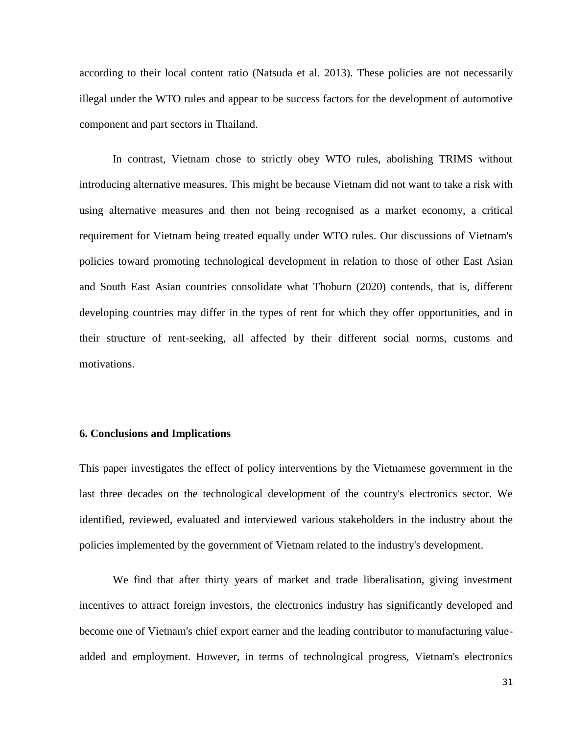according to their local content ratio (Natsuda et al. 2013). These policies are not necessarily illegal under the WTO rules and appear to be success factors for the development of automotive component and part sectors in Thailand.

In contrast, Vietnam chose to strictly obey WTO rules, abolishing TRIMS without introducing alternative measures. This might be because Vietnam did not want to take a risk with using alternative measures and then not being recognised as a market economy, a critical requirement for Vietnam being treated equally under WTO rules. Our discussions of Vietnam's policies toward promoting technological development in relation to those of other East Asian and South East Asian countries consolidate what Thoburn (2020) contends, that is, different developing countries may differ in the types of rent for which they offer opportunities, and in their structure of rent-seeking, all affected by their different social norms, customs and motivations.

### **6. Conclusions and Implications**

This paper investigates the effect of policy interventions by the Vietnamese government in the last three decades on the technological development of the country's electronics sector. We identified, reviewed, evaluated and interviewed various stakeholders in the industry about the policies implemented by the government of Vietnam related to the industry's development.

We find that after thirty years of market and trade liberalisation, giving investment incentives to attract foreign investors, the electronics industry has significantly developed and become one of Vietnam's chief export earner and the leading contributor to manufacturing valueadded and employment. However, in terms of technological progress, Vietnam's electronics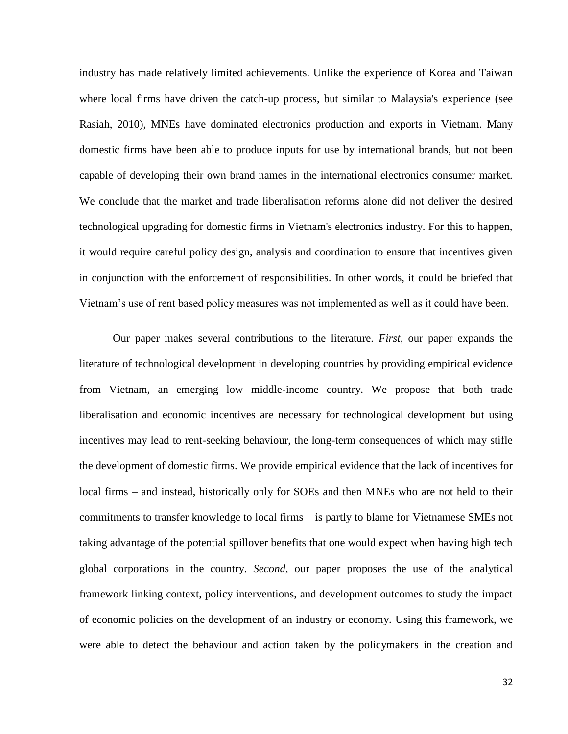industry has made relatively limited achievements. Unlike the experience of Korea and Taiwan where local firms have driven the catch-up process, but similar to Malaysia's experience (see Rasiah, 2010), MNEs have dominated electronics production and exports in Vietnam. Many domestic firms have been able to produce inputs for use by international brands, but not been capable of developing their own brand names in the international electronics consumer market. We conclude that the market and trade liberalisation reforms alone did not deliver the desired technological upgrading for domestic firms in Vietnam's electronics industry. For this to happen, it would require careful policy design, analysis and coordination to ensure that incentives given in conjunction with the enforcement of responsibilities. In other words, it could be briefed that Vietnam's use of rent based policy measures was not implemented as well as it could have been.

Our paper makes several contributions to the literature. *First,* our paper expands the literature of technological development in developing countries by providing empirical evidence from Vietnam, an emerging low middle-income country. We propose that both trade liberalisation and economic incentives are necessary for technological development but using incentives may lead to rent-seeking behaviour, the long-term consequences of which may stifle the development of domestic firms. We provide empirical evidence that the lack of incentives for local firms – and instead, historically only for SOEs and then MNEs who are not held to their commitments to transfer knowledge to local firms – is partly to blame for Vietnamese SMEs not taking advantage of the potential spillover benefits that one would expect when having high tech global corporations in the country. *Second*, our paper proposes the use of the analytical framework linking context, policy interventions, and development outcomes to study the impact of economic policies on the development of an industry or economy. Using this framework, we were able to detect the behaviour and action taken by the policymakers in the creation and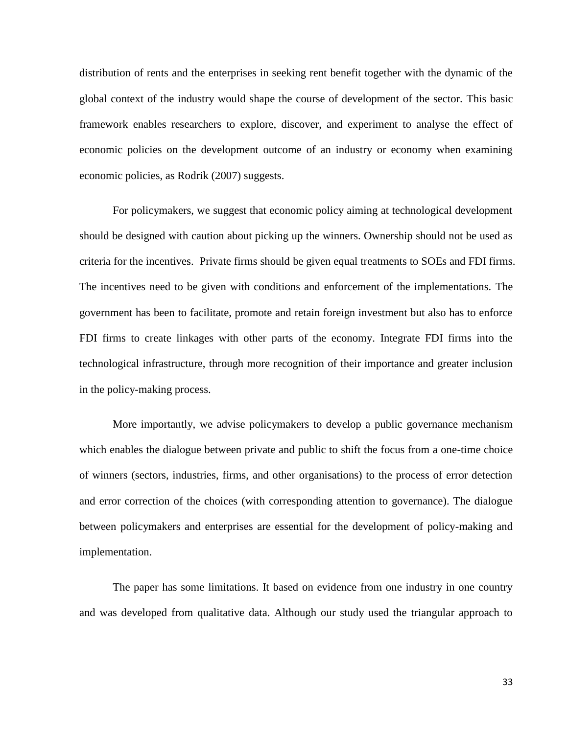distribution of rents and the enterprises in seeking rent benefit together with the dynamic of the global context of the industry would shape the course of development of the sector. This basic framework enables researchers to explore, discover, and experiment to analyse the effect of economic policies on the development outcome of an industry or economy when examining economic policies, as Rodrik (2007) suggests.

For policymakers, we suggest that economic policy aiming at technological development should be designed with caution about picking up the winners. Ownership should not be used as criteria for the incentives. Private firms should be given equal treatments to SOEs and FDI firms. The incentives need to be given with conditions and enforcement of the implementations. The government has been to facilitate, promote and retain foreign investment but also has to enforce FDI firms to create linkages with other parts of the economy. Integrate FDI firms into the technological infrastructure, through more recognition of their importance and greater inclusion in the policy-making process.

More importantly, we advise policymakers to develop a public governance mechanism which enables the dialogue between private and public to shift the focus from a one-time choice of winners (sectors, industries, firms, and other organisations) to the process of error detection and error correction of the choices (with corresponding attention to governance). The dialogue between policymakers and enterprises are essential for the development of policy-making and implementation.

The paper has some limitations. It based on evidence from one industry in one country and was developed from qualitative data. Although our study used the triangular approach to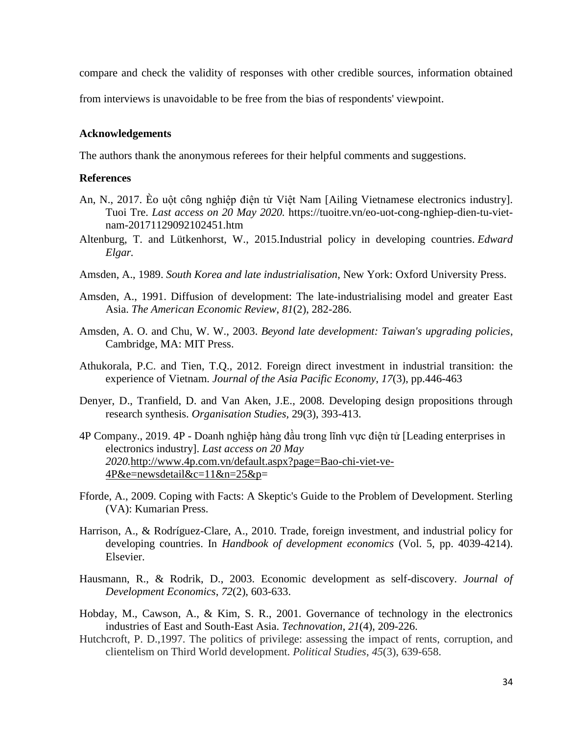compare and check the validity of responses with other credible sources, information obtained

from interviews is unavoidable to be free from the bias of respondents' viewpoint.

#### **Acknowledgements**

The authors thank the anonymous referees for their helpful comments and suggestions.

## **References**

- An, N., 2017. Èo uột công nghiệp điện tử Việt Nam [Ailing Vietnamese electronics industry]. Tuoi Tre. *Last access on 20 May 2020.* [https://tuoitre.vn/eo-uot-cong-nghiep-dien-tu-viet](https://tuoitre.vn/eo-uot-cong-nghiep-dien-tu-viet-nam-20171129092102451.htm)[nam-20171129092102451.htm](https://tuoitre.vn/eo-uot-cong-nghiep-dien-tu-viet-nam-20171129092102451.htm)
- Altenburg, T. and Lütkenhorst, W., 2015.Industrial policy in developing countries. *Edward Elgar.*
- Amsden, A., 1989. *South Korea and late industrialisation*, New York: Oxford University Press.
- Amsden, A., 1991. Diffusion of development: The late-industrialising model and greater East Asia. *The American Economic Review*, *81*(2), 282-286.
- Amsden, A. O. and Chu, W. W., 2003. *Beyond late development: Taiwan's upgrading policies*, Cambridge, MA: MIT Press.
- Athukorala, P.C. and Tien, T.Q., 2012. Foreign direct investment in industrial transition: the experience of Vietnam. *Journal of the Asia Pacific Economy*, *17*(3), pp.446-463
- Denyer, D., Tranfield, D. and Van Aken, J.E., 2008. Developing design propositions through research synthesis. *Organisation Studies,* 29(3), 393-413.
- 4P Company., 2019. 4P Doanh nghiệp hàng đầu trong lĩnh vực điện tử [Leading enterprises in electronics industry]. *Last access on 20 May 2020.*[http://www.4p.com.vn/default.aspx?page=Bao-chi-viet-ve-](http://www.4p.com.vn/default.aspx?page=Bao-chi-viet-ve-4P&e=newsdetail&c=11&n=25&p)[4P&e=newsdetail&c=11&n=25&p=](http://www.4p.com.vn/default.aspx?page=Bao-chi-viet-ve-4P&e=newsdetail&c=11&n=25&p)
- Fforde, A., 2009. Coping with Facts: A Skeptic's Guide to the Problem of Development. Sterling (VA): Kumarian Press.
- Harrison, A., & Rodríguez-Clare, A., 2010. Trade, foreign investment, and industrial policy for developing countries. In *Handbook of development economics* (Vol. 5, pp. 4039-4214). Elsevier.
- Hausmann, R., & Rodrik, D., 2003. Economic development as self-discovery. *Journal of Development Economics*, *72*(2), 603-633.
- Hobday, M., Cawson, A., & Kim, S. R., 2001. Governance of technology in the electronics industries of East and South-East Asia. *Technovation*, *21*(4), 209-226.
- Hutchcroft, P. D.,1997. The politics of privilege: assessing the impact of rents, corruption, and clientelism on Third World development. *Political Studies*, *45*(3), 639-658.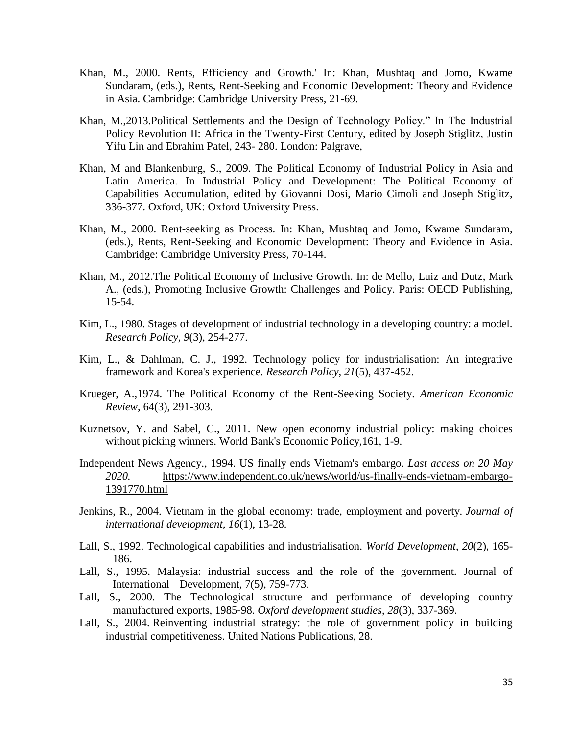- Khan, M., 2000. Rents, Efficiency and Growth.' In: Khan, Mushtaq and Jomo, Kwame Sundaram, (eds.), Rents, Rent-Seeking and Economic Development: Theory and Evidence in Asia. Cambridge: Cambridge University Press, 21-69.
- Khan, M.,2013.Political Settlements and the Design of Technology Policy." In The Industrial Policy Revolution II: Africa in the Twenty-First Century, edited by Joseph Stiglitz, Justin Yifu Lin and Ebrahim Patel, 243- 280. London: Palgrave,
- Khan, M and Blankenburg, S., 2009. The Political Economy of Industrial Policy in Asia and Latin America. In Industrial Policy and Development: The Political Economy of Capabilities Accumulation, edited by Giovanni Dosi, Mario Cimoli and Joseph Stiglitz, 336-377. Oxford, UK: Oxford University Press.
- Khan, M., 2000. Rent-seeking as Process. In: Khan, Mushtaq and Jomo, Kwame Sundaram, (eds.), Rents, Rent-Seeking and Economic Development: Theory and Evidence in Asia. Cambridge: Cambridge University Press, 70-144.
- Khan, M., 2012[.The Political Economy of Inclusive Growth.](http://eprints.soas.ac.uk/17301/) In: de Mello, Luiz and Dutz, Mark A., (eds.), Promoting Inclusive Growth: Challenges and Policy. Paris: OECD Publishing, 15-54.
- Kim, L., 1980. Stages of development of industrial technology in a developing country: a model. *Research Policy*, *9*(3), 254-277.
- Kim, L., & Dahlman, C. J., 1992. Technology policy for industrialisation: An integrative framework and Korea's experience. *Research Policy*, *21*(5), 437-452.
- Krueger, A.,1974. The Political Economy of the Rent-Seeking Society. *[American Economic](http://econpapers.repec.org/article/aeaaecrev/)  [Review](http://econpapers.repec.org/article/aeaaecrev/)*, 64(3), 291-303.
- Kuznetsov, Y. and Sabel, C., 2011. New open economy industrial policy: making choices without picking winners. World Bank's Economic Policy,161, 1-9.
- Independent News Agency., 1994. US finally ends Vietnam's embargo. *Last access on 20 May 2020.* [https://www.independent.co.uk/news/world/us-finally-ends-vietnam-embargo-](https://www.independent.co.uk/news/world/us-finally-ends-vietnam-embargo-1391770.html)[1391770.html](https://www.independent.co.uk/news/world/us-finally-ends-vietnam-embargo-1391770.html)
- Jenkins, R., 2004. Vietnam in the global economy: trade, employment and poverty. *Journal of international development*, *16*(1), 13-28.
- Lall, S., 1992. Technological capabilities and industrialisation. *World Development*, *20*(2), 165- 186.
- Lall, S., 1995. Malaysia: industrial success and the role of the government. Journal of International Development, 7(5), 759-773.
- Lall, S., 2000. The Technological structure and performance of developing country manufactured exports, 1985‐98. *Oxford development studies*, *28*(3), 337-369.
- Lall, S., 2004. Reinventing industrial strategy: the role of government policy in building industrial competitiveness. United Nations Publications, 28.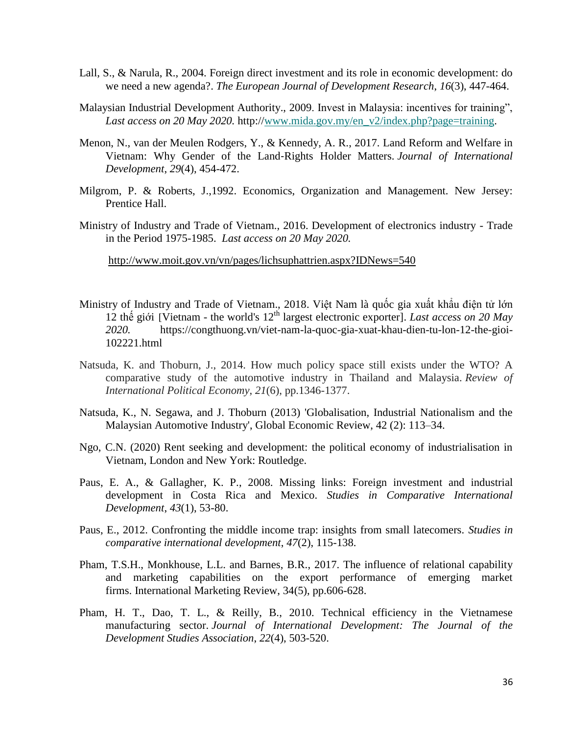- Lall, S., & Narula, R., 2004. Foreign direct investment and its role in economic development: do we need a new agenda?. *The European Journal of Development Research*, *16*(3), 447-464.
- Malaysian Industrial Development Authority., 2009. Invest in Malaysia: incentives for training", *Last access on 20 May 2020.* http:/[/www.mida.gov.my/en\\_v2/index.php?page=training.](http://www.mida.gov.my/en_v2/index.php?page=training)
- Menon, N., van der Meulen Rodgers, Y., & Kennedy, A. R., 2017. Land Reform and Welfare in Vietnam: Why Gender of the Land‐Rights Holder Matters. *Journal of International Development*, *29*(4), 454-472.
- Milgrom, P. & Roberts, J.,1992. Economics, Organization and Management. New Jersey: Prentice Hall.
- Ministry of Industry and Trade of Vietnam., 2016. Development of electronics industry Trade in the Period 1975-1985. *Last access on 20 May 2020.*

<http://www.moit.gov.vn/vn/pages/lichsuphattrien.aspx?IDNews=540>

- Ministry of Industry and Trade of Vietnam., 2018. Việt Nam là quốc gia xuất khẩu điện tử lớn 12 thế giới [Vietnam - the world's 12th largest electronic exporter]. *Last access on 20 May 2020.* https://congthuong.vn/viet-nam-la-quoc-gia-xuat-khau-dien-tu-lon-12-the-gioi-102221.html
- Natsuda, K. and Thoburn, J., 2014. How much policy space still exists under the WTO? A comparative study of the automotive industry in Thailand and Malaysia. *Review of International Political Economy*, *21*(6), pp.1346-1377.
- Natsuda, K., N. Segawa, and J. Thoburn (2013) 'Globalisation, Industrial Nationalism and the Malaysian Automotive Industry', Global Economic Review, 42 (2): 113–34.
- Ngo, C.N. (2020) Rent seeking and development: the political economy of industrialisation in Vietnam, London and New York: Routledge.
- Paus, E. A., & Gallagher, K. P., 2008. Missing links: Foreign investment and industrial development in Costa Rica and Mexico. *Studies in Comparative International Development*, *43*(1), 53-80.
- Paus, E., 2012. Confronting the middle income trap: insights from small latecomers. *Studies in comparative international development*, *47*(2), 115-138.
- Pham, T.S.H., Monkhouse, L.L. and Barnes, B.R., 2017. The influence of relational capability and marketing capabilities on the export performance of emerging market firms. International Marketing Review, 34(5), pp.606-628.
- Pham, H. T., Dao, T. L., & Reilly, B., 2010. Technical efficiency in the Vietnamese manufacturing sector. *Journal of International Development: The Journal of the Development Studies Association*, *22*(4), 503-520.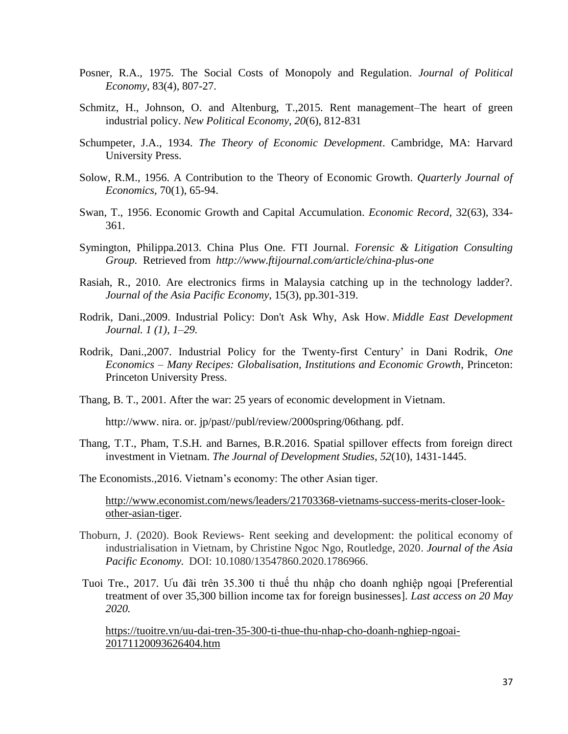- Posner, R.A., 1975. [The Social Costs of Monopoly and Regulation.](https://ideas.repec.org/a/ucp/jpolec/v83y1975i4p807-27.html) *[Journal of Political](https://ideas.repec.org/s/ucp/jpolec.html)  [Economy](https://ideas.repec.org/s/ucp/jpolec.html)*, 83(4), 807-27.
- Schmitz, H., Johnson, O. and Altenburg, T.,2015. Rent management–The heart of green industrial policy. *New Political Economy*, *20*(6), 812-831
- Schumpeter, J.A., 1934. *The Theory of Economic Development*. Cambridge, MA: Harvard University Press.
- Solow, R.M., 1956. A Contribution to the Theory of Economic Growth. *Quarterly Journal of Economics,* 70(1), 65-94.
- Swan, T., 1956. Economic Growth and Capital Accumulation. *Economic Record*, 32(63), 334- 361.
- Symington, Philippa.2013. China Plus One. FTI Journal. *Forensic & Litigation Consulting Group.* Retrieved from *http://www.ftijournal.com/article/china-plus-one*
- Rasiah, R., 2010. Are electronics firms in Malaysia catching up in the technology ladder?. *Journal of the Asia Pacific Economy*, 15(3), pp.301-319.
- Rodrik, Dani.,2009. Industrial Policy: Don't Ask Why, Ask How. *Middle East Development Journal. 1 (1), 1–29.*
- Rodrik, Dani.,2007. Industrial Policy for the Twenty-first Century' in Dani Rodrik, *One Economics – Many Recipes: Globalisation, Institutions and Economic Growth*, Princeton: Princeton University Press.
- Thang, B. T., 2001. After the war: 25 years of economic development in Vietnam.

http://www. nira. or. jp/past//publ/review/2000spring/06thang. pdf.

Thang, T.T., Pham, T.S.H. and Barnes, B.R.2016. Spatial spillover effects from foreign direct investment in Vietnam. *The Journal of Development Studies*, *52*(10), 1431-1445.

The Economists.,2016. Vietnam's economy: The other Asian tiger.

[http://www.economist.com/news/leaders/21703368-vietnams-success-merits-closer-look](http://www.economist.com/news/leaders/21703368-vietnams-success-merits-closer-look-other-asian-tiger)[other-asian-tiger.](http://www.economist.com/news/leaders/21703368-vietnams-success-merits-closer-look-other-asian-tiger)

- Thoburn, J. (2020). Book Reviews- Rent seeking and development: the political economy of industrialisation in Vietnam, by Christine Ngoc Ngo, Routledge, 2020. *Journal of the Asia Pacific Economy.* DOI: 10.1080/13547860.2020.1786966.
- Tuoi Tre., 2017. Ưu đãi trên 35.300 tỉ thuế thu nhập cho doanh nghiệp ngoại [Preferential treatment of over 35,300 billion income tax for foreign businesses]. *Last access on 20 May 2020.*

[https://tuoitre.vn/uu-dai-tren-35-300-ti-thue-thu-nhap-cho-doanh-nghiep-ngoai-](https://tuoitre.vn/uu-dai-tren-35-300-ti-thue-thu-nhap-cho-doanh-nghiep-ngoai-20171120093626404.htm)[20171120093626404.htm](https://tuoitre.vn/uu-dai-tren-35-300-ti-thue-thu-nhap-cho-doanh-nghiep-ngoai-20171120093626404.htm)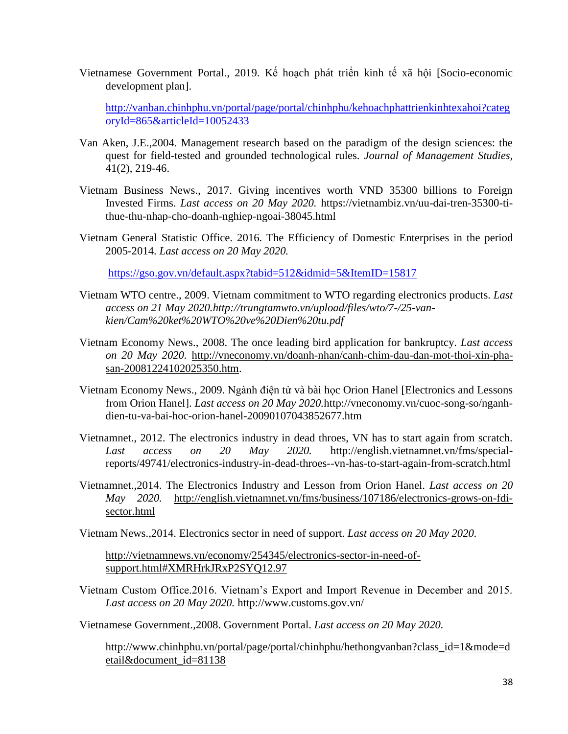Vietnamese Government Portal., 2019. Kế hoạch phát triển kinh tế xã hội [Socio-economic development plan].

[http://vanban.chinhphu.vn/portal/page/portal/chinhphu/kehoachphattrienkinhtexahoi?categ](http://vanban.chinhphu.vn/portal/page/portal/chinhphu/kehoachphattrienkinhtexahoi?categoryId=865&articleId=10052433) [oryId=865&articleId=10052433](http://vanban.chinhphu.vn/portal/page/portal/chinhphu/kehoachphattrienkinhtexahoi?categoryId=865&articleId=10052433)

- Van Aken, J.E.,2004. Management research based on the paradigm of the design sciences: the quest for field-tested and grounded technological rules. *Journal of Management Studies,* 41(2), 219-46.
- Vietnam Business News., 2017. Giving incentives worth VND 35300 billions to Foreign Invested Firms. *Last access on 20 May 2020.* https://vietnambiz.vn/uu-dai-tren-35300-tithue-thu-nhap-cho-doanh-nghiep-ngoai-38045.html
- Vietnam General Statistic Office. 2016. The Efficiency of Domestic Enterprises in the period 2005-2014. *Last access on 20 May 2020.*

<https://gso.gov.vn/default.aspx?tabid=512&idmid=5&ItemID=15817>

- Vietnam WTO centre., 2009. Vietnam commitment to WTO regarding electronics products. *Last access on 21 May 2020.http://trungtamwto.vn/upload/files/wto/7-/25-vankien/Cam%20ket%20WTO%20ve%20Dien%20tu.pdf*
- Vietnam Economy News., 2008. The once leading bird application for bankruptcy. *Last access on 20 May 2020.* [http://vneconomy.vn/doanh-nhan/canh-chim-dau-dan-mot-thoi-xin-pha](http://vneconomy.vn/doanh-nhan/canh-chim-dau-dan-mot-thoi-xin-pha-san-20081224102025350.htm)[san-20081224102025350.htm.](http://vneconomy.vn/doanh-nhan/canh-chim-dau-dan-mot-thoi-xin-pha-san-20081224102025350.htm)
- Vietnam Economy News., 2009. Ngành điện tử và bài học Orion Hanel [Electronics and Lessons from Orion Hanel]. *Last access on 20 May 2020.*http://vneconomy.vn/cuoc-song-so/nganhdien-tu-va-bai-hoc-orion-hanel-20090107043852677.htm
- Vietnamnet., 2012. The electronics industry in dead throes, VN has to start again from scratch. *Last access on 20 May 2020.* http://english.vietnamnet.vn/fms/specialreports/49741/electronics-industry-in-dead-throes--vn-has-to-start-again-from-scratch.html
- Vietnamnet.,2014. The Electronics Industry and Lesson from Orion Hanel. *Last access on 20 May 2020.* [http://english.vietnamnet.vn/fms/business/107186/electronics-grows-on-fdi](http://english.vietnamnet.vn/fms/business/107186/electronics-grows-on-fdi-sector.html)[sector.html](http://english.vietnamnet.vn/fms/business/107186/electronics-grows-on-fdi-sector.html)

Vietnam News.,2014. Electronics sector in need of support. *Last access on 20 May 2020.*

[http://vietnamnews.vn/economy/254345/electronics-sector-in-need-of](http://vietnamnews.vn/economy/254345/electronics-sector-in-need-of-support.html#XMRHrkJRxP2SYQ12.97)[support.html#XMRHrkJRxP2SYQ12.97](http://vietnamnews.vn/economy/254345/electronics-sector-in-need-of-support.html#XMRHrkJRxP2SYQ12.97)

Vietnam Custom Office.2016. Vietnam's Export and Import Revenue in December and 2015. *Last access on 20 May 2020.* http://www.customs.gov.vn/

Vietnamese Government.,2008. Government Portal. *Last access on 20 May 2020.*

[http://www.chinhphu.vn/portal/page/portal/chinhphu/hethongvanban?class\\_id=1&mode=d](http://www.chinhphu.vn/portal/page/portal/chinhphu/hethongvanban?class_id=1&mode=detail&document_id=81138) [etail&document\\_id=81138](http://www.chinhphu.vn/portal/page/portal/chinhphu/hethongvanban?class_id=1&mode=detail&document_id=81138)